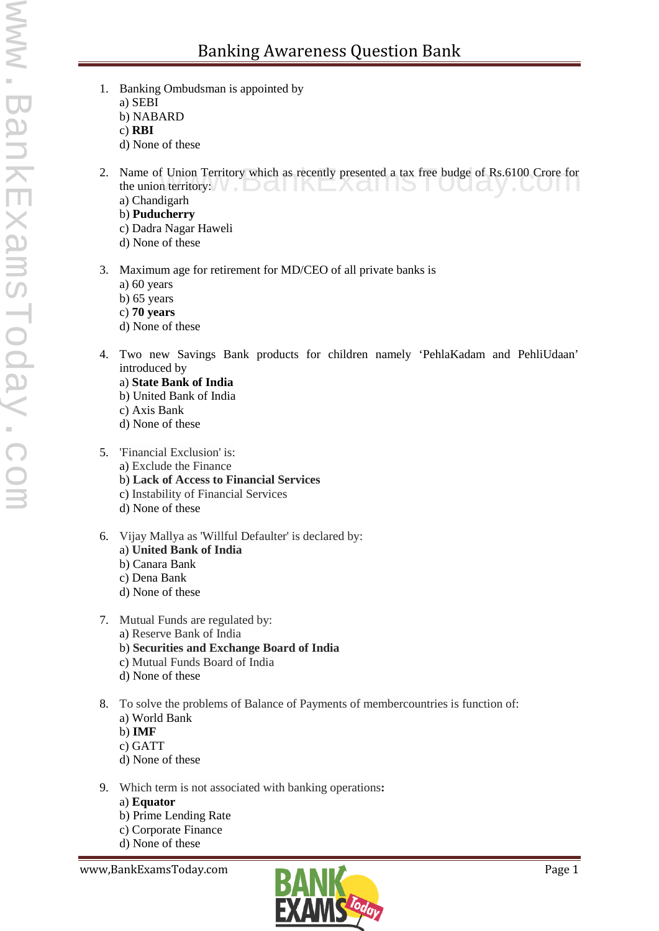- 1. Banking Ombudsman is appointed by a) SEBI b) NABARD c) **RBI** d) None of these
- 2. Name of Union Territory which as recently presented a tax free budge of Rs.6100 Crore for Name of Union Territory which as recently presented a tax free budge of Rs.6100 Crore for the union territory: a) Chandigarh b) **Puducherry**
	- c) Dadra Nagar Haweli
	- d) None of these
- 3. Maximum age for retirement for MD/CEO of all private banks is a) 60 years b) 65 years c) **70 years**
	- d) None of these
- 4. Two new Savings Bank products for children namely 'PehlaKadam and PehliUdaan' introduced by a) **State Bank of India** b) United Bank of India
	- c) Axis Bank
	- d) None of these
- 5. 'Financial Exclusion' is: a) Exclude the Finance b) **Lack of Access to Financial Services** c) Instability of Financial Services d) None of these
- 6. Vijay Mallya as 'Willful Defaulter' is declared by: a) **United Bank of India** b) Canara Bank c) Dena Bank d) None of these
- 7. Mutual Funds are regulated by: a) Reserve Bank of India b) **Securities and Exchange Board of India** c) Mutual Funds Board of India d) None of these
- 8. To solve the problems of Balance of Payments of membercountries is function of: a) World Bank b) **IMF**
	- c) GATT
	- d) None of these
- 9. Which term is not associated with banking operations**:**
	- a) **Equator**
	- b) Prime Lending Rate
	- c) Corporate Finance
	- d) None of these

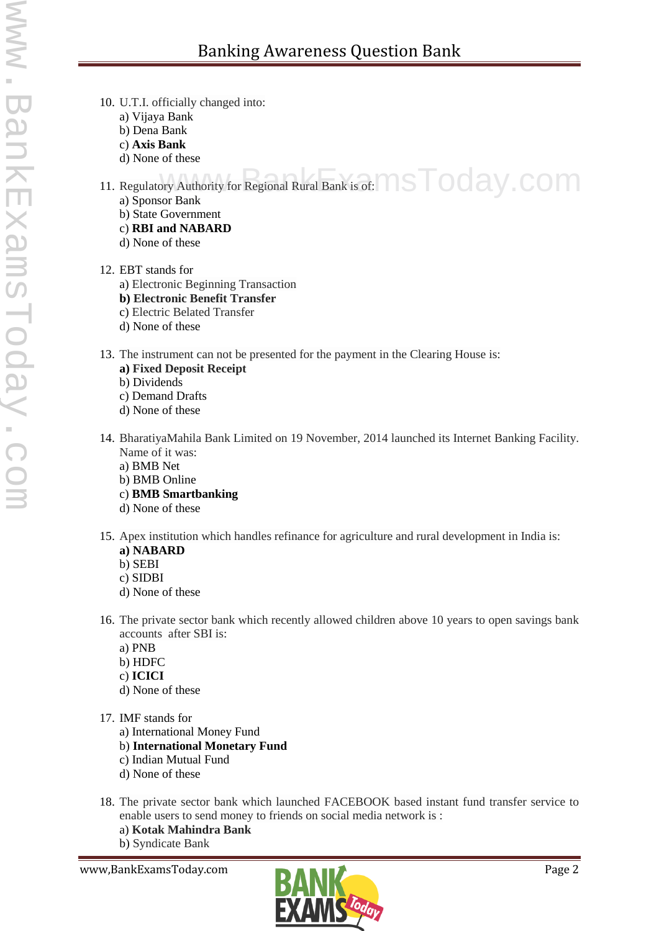- 10. U.T.I. officially changed into:
	- a) Vijaya Bank
	- b) Dena Bank
	- c) **Axis Bank**
	- d) None of these
- 11. Regulatory Authority for Regional Rural Bank is of: MSTOOay.COM a) Sponsor Bank b) State Government
	- c) **RBI and NABARD**
	- d) None of these
- 12. EBT stands for
	- a) Electronic Beginning Transaction
	- **b) Electronic Benefit Transfer**
	- c) Electric Belated Transfer
	- d) None of these
- 13. The instrument can not be presented for the payment in the Clearing House is:
	- **a) Fixed Deposit Receipt**
	- b) Dividends
	- c) Demand Drafts
	- d) None of these
- 14. BharatiyaMahila Bank Limited on 19 November, 2014 launched its Internet Banking Facility. Name of it was:
	- a) BMB Net
	- b) BMB Online
	- c) **BMB Smartbanking**
	- d) None of these
- 15. Apex institution which handles refinance for agriculture and rural development in India is:
	- **a) NABARD**
	- b) SEBI
	- c) SIDBI
	- d) None of these
- 16. The private sector bank which recently allowed children above 10 years to open savings bank accounts after SBI is:
	- a) PNB
	- b) HDFC
	- c) **ICICI**
	- d) None of these
- 17. IMF stands for
	- a) International Money Fund
	- b) **International Monetary Fund**
	- c) Indian Mutual Fund
	- d) None of these
- 18. The private sector bank which launched FACEBOOK based instant fund transfer service to enable users to send money to friends on social media network is :
	- a) **Kotak Mahindra Bank**
	- b) Syndicate Bank

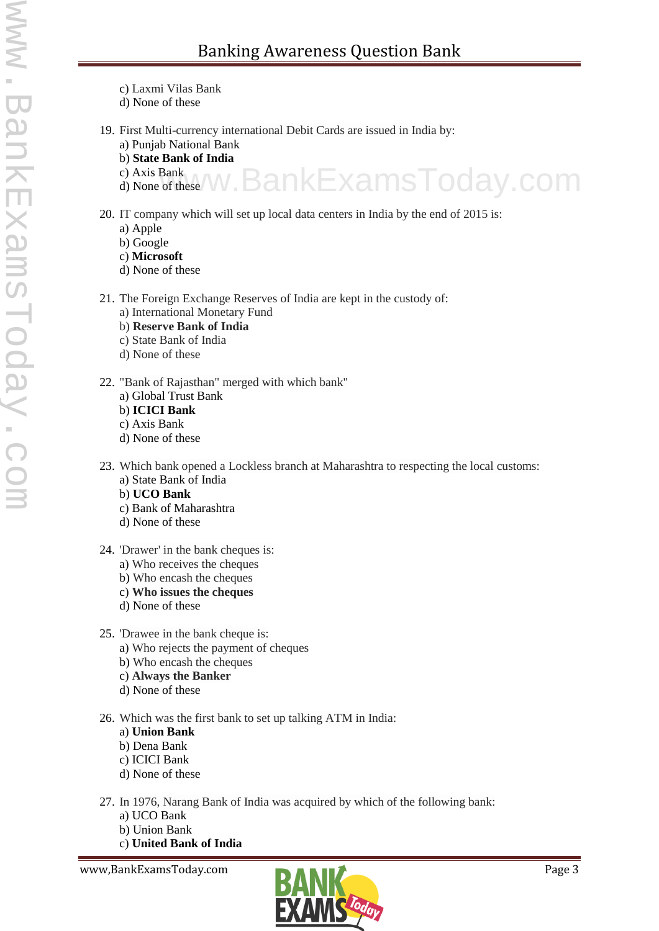BankExamsToday.com

- c) Laxmi Vilas Bank
- d) None of these
- 19. First Multi-currency international Debit Cards are issued in India by:
	- a) Punjab National Bank
	- b) **State Bank of India**
	- c) Axis Bank
	- d) None of these
- 20. IT company which will set up local data centers in India by the end of 2015 is:
	- a) Apple
	- b) Google
	- c) **Microsoft**
	- d) None of these
- 21. The Foreign Exchange Reserves of India are kept in the custody of:
	- a) International Monetary Fund
	- b) **Reserve Bank of India**
	- c) State Bank of India
	- d) None of these
- 22. "Bank of Rajasthan" merged with which bank"
	- a) Global Trust Bank
	- b) **ICICI Bank**
	- c) Axis Bank
	- d) None of these
- 23. Which bank opened a Lockless branch at Maharashtra to respecting the local customs: a) State Bank of India
	- b) **UCO Bank**
	- c) Bank of Maharashtra
	- d) None of these
- 24. 'Drawer' in the bank cheques is:
	- a) Who receives the cheques
	- b) Who encash the cheques
	- c) **Who issues the cheques**
	- d) None of these
- 25. 'Drawee in the bank cheque is:
	- a) Who rejects the payment of cheques
	- b) Who encash the cheques
	- c) **Always the Banker**
	- d) None of these
- 26. Which was the first bank to set up talking ATM in India:
	- a) **Union Bank**
	- b) Dena Bank
	- c) ICICI Bank
	- d) None of these
- 27. In 1976, Narang Bank of India was acquired by which of the following bank:
	- a) UCO Bank
	- b) Union Bank
	- c) **United Bank of India**

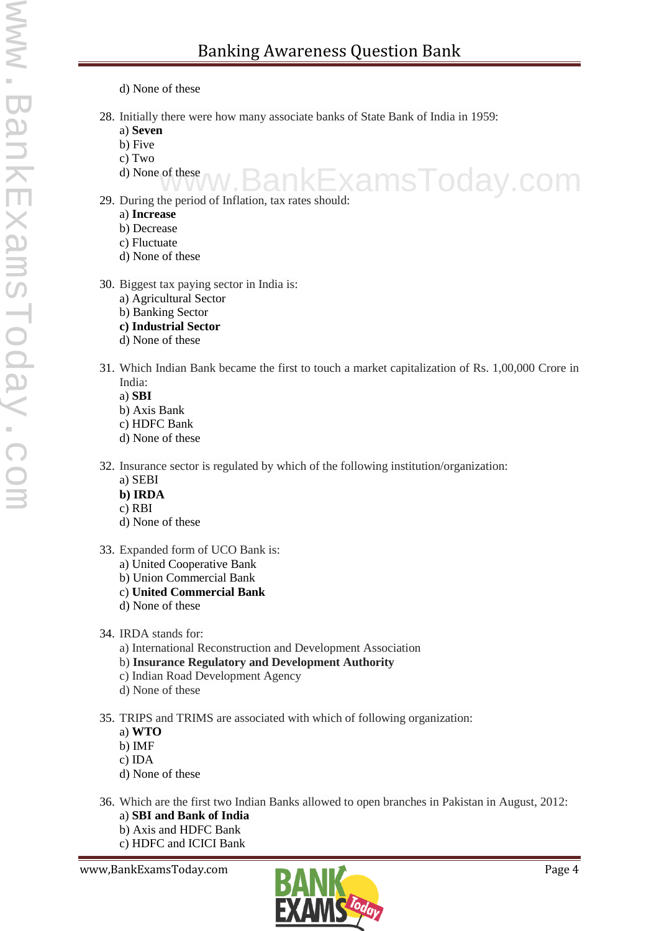- d) None of these
- 28. Initially there were how many associate banks of State Bank of India in 1959:
	- a) **Seven**
	- b) Five
	- c) Two
	- d) None of these
- 29. During the period of Inflation, tax rates should: ikExamsToday.com
	- a) **Increase**
	- b) Decrease
	- c) Fluctuate
	- d) None of these
- 30. Biggest tax paying sector in India is:
	- a) Agricultural Sector
	- b) Banking Sector
	- **c) Industrial Sector**
	- d) None of these
- 31. Which Indian Bank became the first to touch a market capitalization of Rs. 1,00,000 Crore in India:
	- a) **SBI**
	- b) Axis Bank
	- c) HDFC Bank
	- d) None of these
- 32. Insurance sector is regulated by which of the following institution/organization:
	- a) SEBI
	- **b) IRDA**
	- c) RBI
	- d) None of these
- 33. Expanded form of UCO Bank is:
	- a) United Cooperative Bank
	- b) Union Commercial Bank
	- c) **United Commercial Bank**
	- d) None of these
- 34. IRDA stands for:
	- a) International Reconstruction and Development Association
	- b) **Insurance Regulatory and Development Authority**
	- c) Indian Road Development Agency
	- d) None of these
- 35. TRIPS and TRIMS are associated with which of following organization:
	- a) **WTO**
	- b) IMF
	- c) IDA
	- d) None of these
- 36. Which are the first two Indian Banks allowed to open branches in Pakistan in August, 2012: a) **SBI and Bank of India**
	- b) Axis and HDFC Bank
	- c) HDFC and ICICI Bank

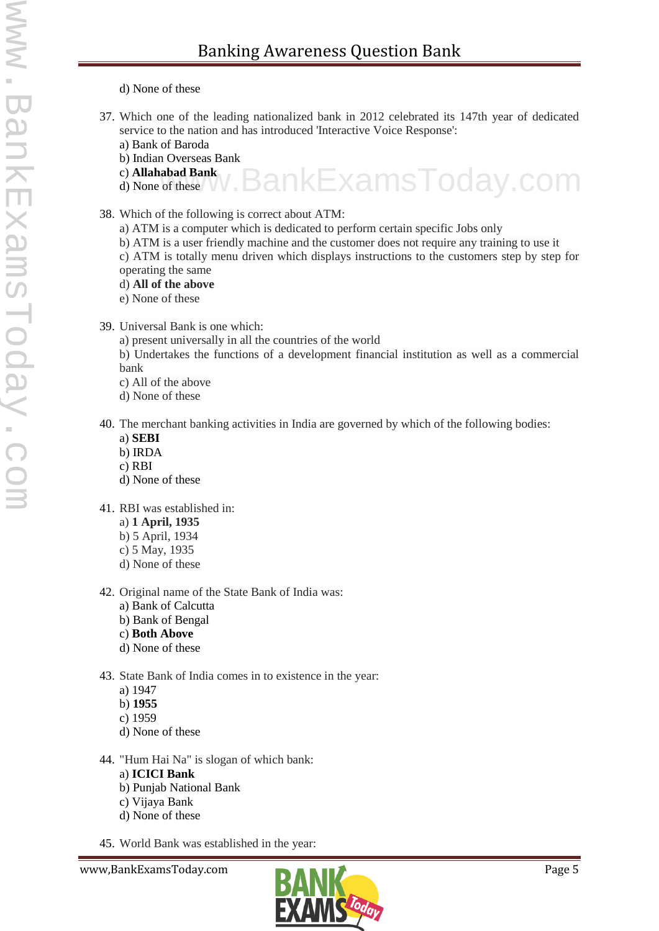d) None of these

- 37. Which one of the leading nationalized bank in 2012 celebrated its 147th year of dedicated service to the nation and has introduced 'Interactive Voice Response':
	- a) Bank of Baroda
	- b) Indian Overseas Bank
	- c) **Allahabad Bank**
	- d) None of these
- 38. Which of the following is correct about ATM:
	- a) ATM is a computer which is dedicated to perform certain specific Jobs only
	- b) ATM is a user friendly machine and the customer does not require any training to use it c) ATM is totally menu driven which displays instructions to the customers step by step for operating the same

BankExamsToday.com

- d) **All of the above**
- e) None of these
- 39. Universal Bank is one which:
	- a) present universally in all the countries of the world
	- b) Undertakes the functions of a development financial institution as well as a commercial bank
	- c) All of the above
	- d) None of these
- 40. The merchant banking activities in India are governed by which of the following bodies: a) **SEBI**
	- b) IRDA
	- c) RBI
	- d) None of these
- 41. RBI was established in:
	- a) **1 April, 1935**
	- b) 5 April, 1934
	- c) 5 May, 1935
	- d) None of these
- 42. Original name of the State Bank of India was:
	- a) Bank of Calcutta
	- b) Bank of Bengal
	- c) **Both Above**
	- d) None of these
- 43. State Bank of India comes in to existence in the year:
	- a) 1947
	- b) **1955**
	- c) 1959
	- d) None of these
- 44. "Hum Hai Na" is slogan of which bank:
	- a) **ICICI Bank**
	- b) Punjab National Bank
	- c) Vijaya Bank
	- d) None of these
- 45. World Bank was established in the year:

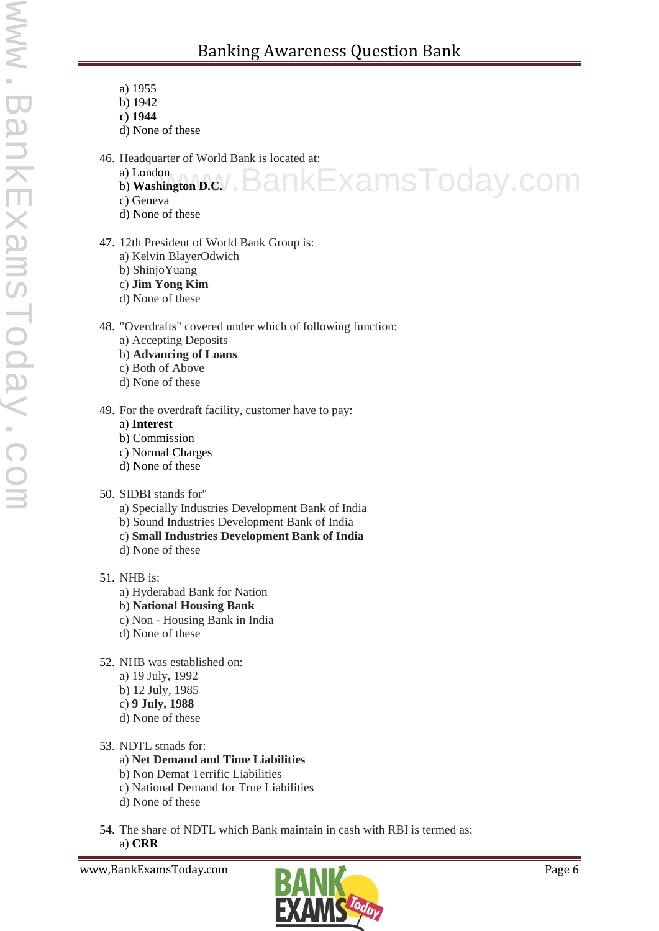- a) 1955
- b) 1942
- **c) 1944**
- d) None of these
- 46. Headquarter of World Bank is located at:
	- a) London
	- b) **Washington D.C.** าkExamsToday.com
	- c) Geneva
	- d) None of these
- 47. 12th President of World Bank Group is:
	- a) Kelvin BlayerOdwich
	- b) ShinjoYuang
	- c) **Jim Yong Kim**
	- d) None of these
- 48. "Overdrafts" covered under which of following function:
	- a) Accepting Deposits
	- b) **Advancing of Loans**
	- c) Both of Above
	- d) None of these
- 49. For the overdraft facility, customer have to pay:
	- a) **Interest**
	- b) Commission
	- c) Normal Charges
	- d) None of these
- 50. SIDBI stands for"
	- a) Specially Industries Development Bank of India
	- b) Sound Industries Development Bank of India
	- c) **Small Industries Development Bank of India**
	- d) None of these
- 51. NHB is:
	- a) Hyderabad Bank for Nation
	- b) **National Housing Bank**
	- c) Non Housing Bank in India
	- d) None of these
- 52. NHB was established on:
	- a) 19 July, 1992
	- b) 12 July, 1985
	- c) **9 July, 1988**
	- d) None of these
- 53. NDTL stnads for:
	- a) **Net Demand and Time Liabilities**
	- b) Non Demat Terrific Liabilities
	- c) National Demand for True Liabilities
	- d) None of these
- 54. The share of NDTL which Bank maintain in cash with RBI is termed as: a) **CRR**

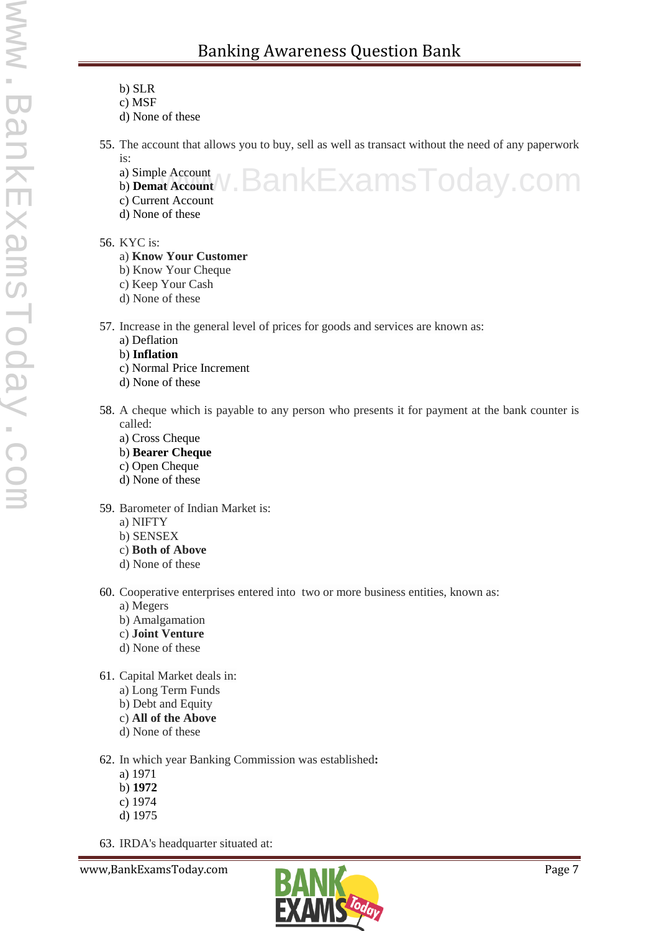- b) SLR
- c) MSF
- d) None of these
- 55. The account that allows you to buy, sell as well as transact without the need of any paperwork is:
	- a) Simple Account a) Simple Account<br>b) Demat Account N . BankExamsToday.com c) Current Account
	- d) None of these

### 56. KYC is:

- a) **Know Your Customer**
- b) Know Your Cheque
- c) Keep Your Cash
- d) None of these
- 57. Increase in the general level of prices for goods and services are known as:
	- a) Deflation
	- b) **Inflation**
	- c) Normal Price Increment
	- d) None of these
- 58. A cheque which is payable to any person who presents it for payment at the bank counter is called:
	- a) Cross Cheque
	- b) **Bearer Cheque**
	- c) Open Cheque
	- d) None of these
- 59. Barometer of Indian Market is:
	- a) NIFTY
	- b) SENSEX
	- c) **Both of Above**
	- d) None of these
- 60. Cooperative enterprises entered into two or more business entities, known as:
	- a) Megers
	- b) Amalgamation
	- c) **Joint Venture**
	- d) None of these
- 61. Capital Market deals in:
	- a) Long Term Funds
	- b) Debt and Equity
	- c) **All of the Above**
	- d) None of these
- 62. In which year Banking Commission was established**:**
	- a) 1971
	- b) **1972**
	- c) 1974
	- d) 1975
- 63. IRDA's headquarter situated at:

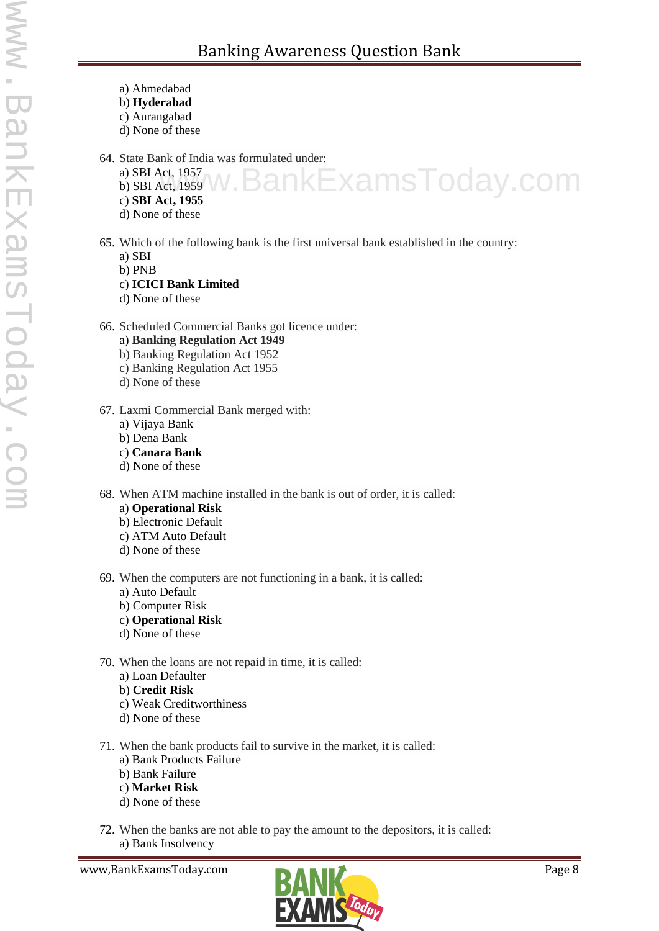kExamsToday.com

- a) Ahmedabad
- b) **Hyderabad**
- c) Aurangabad
- d) None of these
- 64. State Bank of India was formulated under:
	- a) SBI Act, 1957 b) SBI Act, 1959
	- c) **SBI Act, 1955**
	- d) None of these
- 65. Which of the following bank is the first universal bank established in the country:
	- a) SBI
	- b) PNB
	- c) **ICICI Bank Limited**
	- d) None of these
- 66. Scheduled Commercial Banks got licence under:
	- a) **Banking Regulation Act 1949**
	- b) Banking Regulation Act 1952
	- c) Banking Regulation Act 1955
	- d) None of these
- 67. Laxmi Commercial Bank merged with:
	- a) Vijaya Bank
	- b) Dena Bank
	- c) **Canara Bank**
	- d) None of these
- 68. When ATM machine installed in the bank is out of order, it is called:
	- a) **Operational Risk** b) Electronic Default
	- c) ATM Auto Default
	- d) None of these
- 69. When the computers are not functioning in a bank, it is called:
	- a) Auto Default
	- b) Computer Risk
	- c) **Operational Risk**
	- d) None of these
- 70. When the loans are not repaid in time, it is called:
	- a) Loan Defaulter
	- b) **Credit Risk**
	- c) Weak Creditworthiness
	- d) None of these
- 71. When the bank products fail to survive in the market, it is called:
	- a) Bank Products Failure
	- b) Bank Failure
	- c) **Market Risk**
	- d) None of these
- 72. When the banks are not able to pay the amount to the depositors, it is called: a) Bank Insolvency

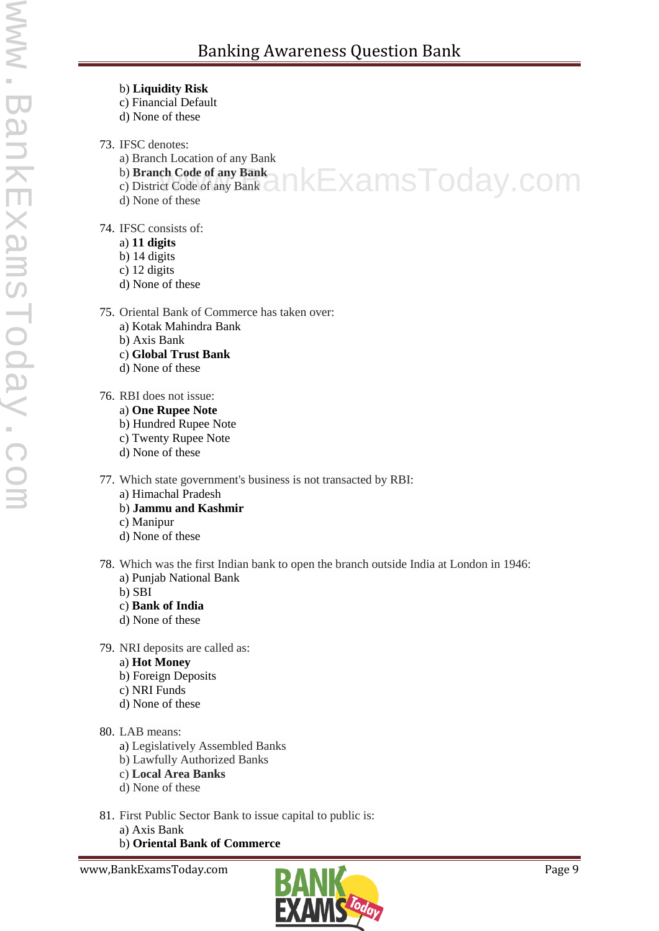- b) **Liquidity Risk**
- c) Financial Default
- d) None of these
- 73. IFSC denotes:
	- a) Branch Location of any Bank
	- b) **Branch Code of any Bank**
	- b) Branch Code of any Bank<br>c) District Code of any Bank  $\alpha \cap k$   $\sqsubseteq$   $x$   $\alpha \cap s$   $\top$   $\odot$   $\alpha$   $\vee$  . CO  $\cap$
	- d) None of these
- 74. IFSC consists of:
	- a) **11 digits**
	- b) 14 digits
	- c) 12 digits
	- d) None of these
- 75. Oriental Bank of Commerce has taken over:
	- a) Kotak Mahindra Bank
	- b) Axis Bank
	- c) **Global Trust Bank**
	- d) None of these
- 76. RBI does not issue:
	- a) **One Rupee Note**
	- b) Hundred Rupee Note
	- c) Twenty Rupee Note
	- d) None of these
- 77. Which state government's business is not transacted by RBI:
	- a) Himachal Pradesh
	- b) **Jammu and Kashmir**
	- c) Manipur
	- d) None of these
- 78. Which was the first Indian bank to open the branch outside India at London in 1946: a) Punjab National Bank
	- b) SBI
	- c) **Bank of India**
	- d) None of these
- 79. NRI deposits are called as:
	- a) **Hot Money**
	- b) Foreign Deposits
	- c) NRI Funds
	- d) None of these
- 80. LAB means:
	- a) Legislatively Assembled Banks
	- b) Lawfully Authorized Banks
	- c) **Local Area Banks**
	- d) None of these
- 81. First Public Sector Bank to issue capital to public is:
	- a) Axis Bank
	- b) **Oriental Bank of Commerce**

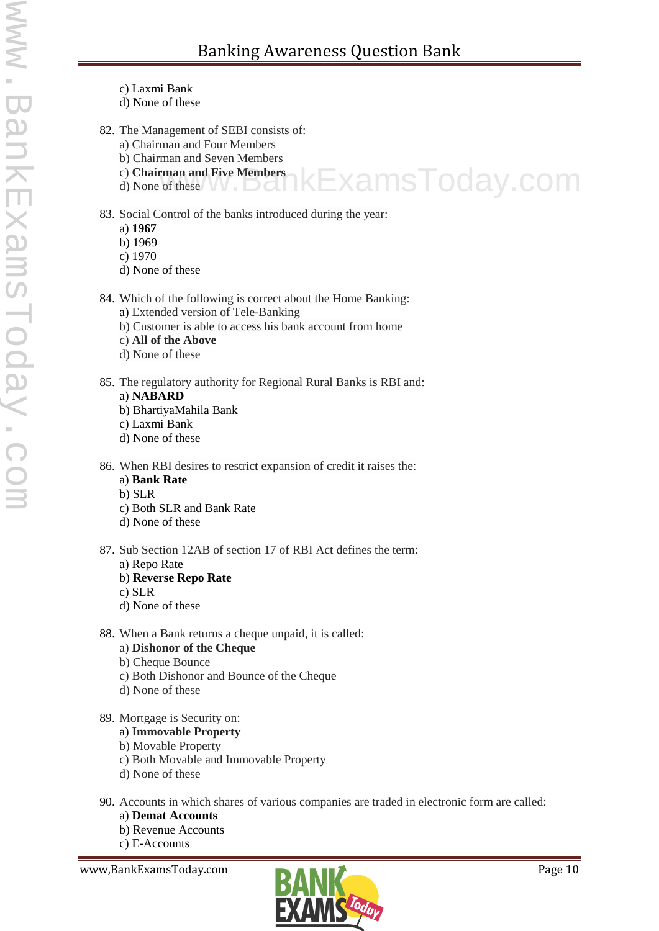www.BankExamsToday.com

- c) Laxmi Bank
- d) None of these
- 82. The Management of SEBI consists of:
	- a) Chairman and Four Members
	- b) Chairman and Seven Members
	- c) **Chairman and Five Members**
	- d) None of these  $\mathbb{W}$   $\Box$

#### 83. Social Control of the banks introduced during the year:

- a) **1967**
- b) 1969
- c) 1970
- d) None of these
- 84. Which of the following is correct about the Home Banking:
	- a) Extended version of Tele-Banking
	- b) Customer is able to access his bank account from home
	- c) **All of the Above**
	- d) None of these

### 85. The regulatory authority for Regional Rural Banks is RBI and:

- a) **NABARD**
- b) BhartiyaMahila Bank
- c) Laxmi Bank
- d) None of these
- 86. When RBI desires to restrict expansion of credit it raises the:
	- a) **Bank Rate**
	- b) SLR
	- c) Both SLR and Bank Rate
	- d) None of these
- 87. Sub Section 12AB of section 17 of RBI Act defines the term:
	- a) Repo Rate
	- b) **Reverse Repo Rate**
	- c) SLR
	- d) None of these
- 88. When a Bank returns a cheque unpaid, it is called:
	- a) **Dishonor of the Cheque**
	- b) Cheque Bounce
	- c) Both Dishonor and Bounce of the Cheque
	- d) None of these
- 89. Mortgage is Security on:
	- a) **Immovable Property**
	- b) Movable Property
	- c) Both Movable and Immovable Property
	- d) None of these
- 90. Accounts in which shares of various companies are traded in electronic form are called:
	- a) **Demat Accounts**
	- b) Revenue Accounts
	- c) E-Accounts

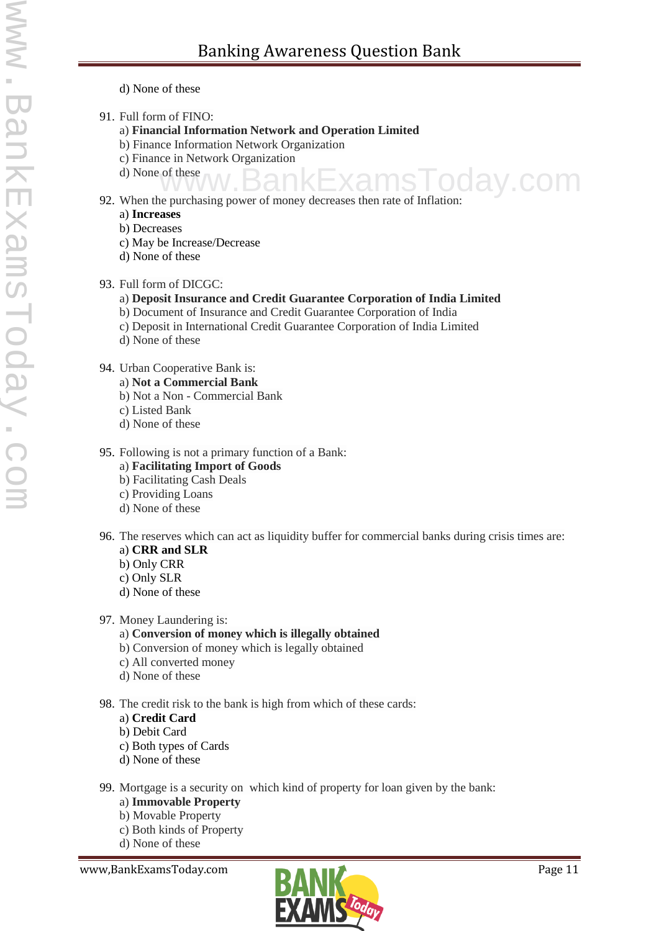- d) None of these
- 91. Full form of FINO:
	- a) **Financial Information Network and Operation Limited**
	- b) Finance Information Network Organization
	- c) Finance in Network Organization

d) None of these

- 92. When the purchasing power of money decreases then rate of Inflation: www.BankExamsToday.com
	- a) **Increases**
	- b) Decreases
	- c) May be Increase/Decrease
	- d) None of these
- 93. Full form of DICGC:
	- a) **Deposit Insurance and Credit Guarantee Corporation of India Limited**
	- b) Document of Insurance and Credit Guarantee Corporation of India
	- c) Deposit in International Credit Guarantee Corporation of India Limited
	- d) None of these
- 94. Urban Cooperative Bank is:
	- a) **Not a Commercial Bank**
	- b) Not a Non Commercial Bank
	- c) Listed Bank
	- d) None of these
- 95. Following is not a primary function of a Bank:
	- a) **Facilitating Import of Goods**
	- b) Facilitating Cash Deals
	- c) Providing Loans
	- d) None of these
- 96. The reserves which can act as liquidity buffer for commercial banks during crisis times are:
	- a) **CRR and SLR**
	- b) Only CRR
	- c) Only SLR
	- d) None of these
- 97. Money Laundering is:
	- a) **Conversion of money which is illegally obtained**
	- b) Conversion of money which is legally obtained
	- c) All converted money
	- d) None of these
- 98. The credit risk to the bank is high from which of these cards:
	- a) **Credit Card**
	- b) Debit Card
	- c) Both types of Cards
	- d) None of these
- 99. Mortgage is a security on which kind of property for loan given by the bank:
	- a) **Immovable Property**
	- b) Movable Property
	- c) Both kinds of Property
	- d) None of these

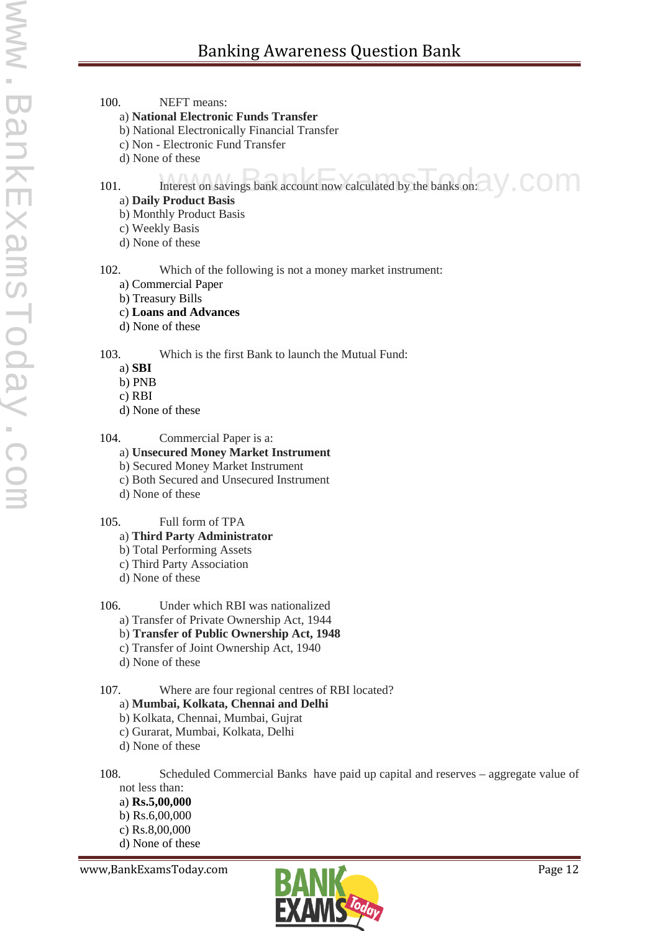| 1         |
|-----------|
| I         |
| I<br>d    |
| I         |
| I         |
| I         |
| $\bullet$ |
|           |
| ļ         |
| )         |
| I         |
| I         |
|           |
| J,        |
| i         |
|           |
|           |
|           |
|           |
| Í         |
| I<br>I    |
| I<br>I    |
| Ì         |
|           |
|           |
|           |
| I         |
|           |
| I         |
| I<br>I    |
| )<br>I    |
| I         |
| ł         |
| $\bullet$ |
|           |
| )         |
|           |
| l         |
| j<br>Ī    |
| I<br>Ì    |
| I         |

#### 100. NEFT means:

- a) **National Electronic Funds Transfer**
- b) National Electronically Financial Transfer
- c) Non Electronic Fund Transfer
- d) None of these

# 101. Interest on savings bank account now calculated by the banks on:  $\mathbb{C} \setminus \mathbb{C}$ a) **Daily Product Basis**

- b) Monthly Product Basis
- c) Weekly Basis
- d) None of these

102. Which of the following is not a money market instrument:

- a) Commercial Paper
- b) Treasury Bills
- c) **Loans and Advances**
- d) None of these

103. Which is the first Bank to launch the Mutual Fund:

- a) **SBI**
- b) PNB
- c) RBI
- d) None of these

#### 104. Commercial Paper is a:

- a) **Unsecured Money Market Instrument**
- b) Secured Money Market Instrument
- c) Both Secured and Unsecured Instrument
- d) None of these
- 105. Full form of TPA
	- a) **Third Party Administrator**
	- b) Total Performing Assets
	- c) Third Party Association
	- d) None of these
- 106. Under which RBI was nationalized
	- a) Transfer of Private Ownership Act, 1944
	- b) **Transfer of Public Ownership Act, 1948**
	- c) Transfer of Joint Ownership Act, 1940
	- d) None of these

107. Where are four regional centres of RBI located?

### a) **Mumbai, Kolkata, Chennai and Delhi**

- b) Kolkata, Chennai, Mumbai, Gujrat
- c) Gurarat, Mumbai, Kolkata, Delhi
- d) None of these

108. Scheduled Commercial Banks have paid up capital and reserves – aggregate value of not less than:

- a) **Rs.5,00,000**
- b) Rs.6,00,000
- c) Rs.8,00,000
- d) None of these

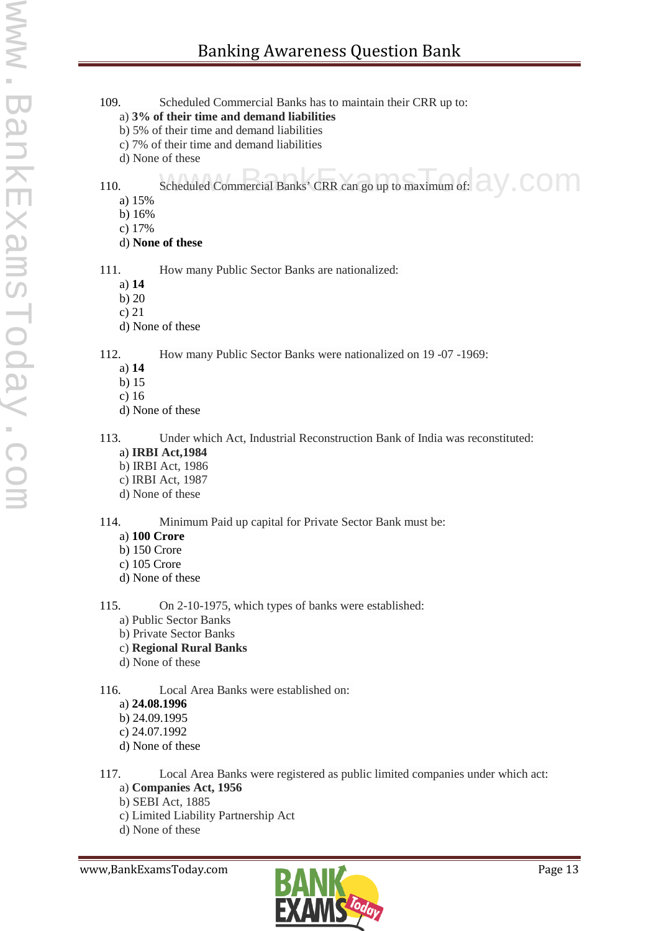### 109. Scheduled Commercial Banks has to maintain their CRR up to: a) **3% of their time and demand liabilities** b) 5% of their time and demand liabilities c) 7% of their time and demand liabilities d) None of these 110. Scheduled Commercial Banks' CRR can go up to maximum of:  $\partial V$ . COM a) 15% b) 16% c) 17% d) **None of these** 111. How many Public Sector Banks are nationalized: a) **14** b) 20 c) 21 d) None of these

112. How many Public Sector Banks were nationalized on 19 -07 -1969:

- a) **14**
- b) 15
- c) 16
- d) None of these

## 113. Under which Act, Industrial Reconstruction Bank of India was reconstituted:

- a) **IRBI Act,1984**
- b) IRBI Act, 1986
- c) IRBI Act, 1987
- d) None of these

### 114. Minimum Paid up capital for Private Sector Bank must be:

- a) **100 Crore**
- b) 150 Crore
- c) 105 Crore
- d) None of these

115. On 2-10-1975, which types of banks were established:

- a) Public Sector Banks
- b) Private Sector Banks
- c) **Regional Rural Banks**
- d) None of these

116. Local Area Banks were established on:

- a) **24.08.1996**
- b) 24.09.1995
- c) 24.07.1992
- d) None of these
- 117. Local Area Banks were registered as public limited companies under which act:
	- a) **Companies Act, 1956**
	- b) SEBI Act, 1885
	- c) Limited Liability Partnership Act
	- d) None of these

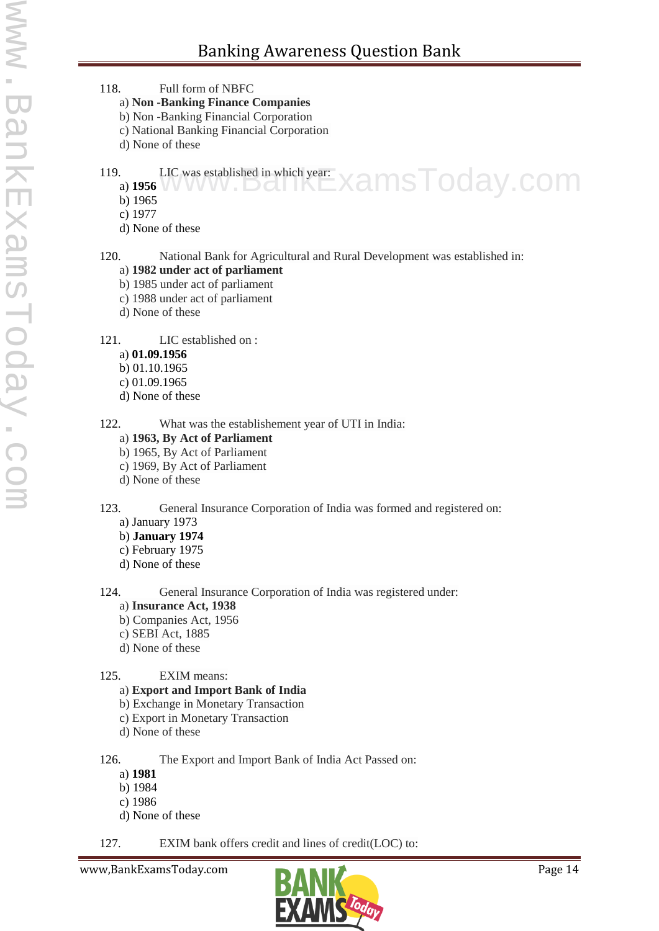- 118. Full form of NBFC
	- a) **Non -Banking Finance Companies**
	- b) Non -Banking Financial Corporation
	- c) National Banking Financial Corporation
	- d) None of these

#### 119. LIC was established in which year:

# a) 1956<br>
www.BankExamsToday.com

- b) 1965
- c) 1977
- d) None of these

### 120. National Bank for Agricultural and Rural Development was established in:

### a) **1982 under act of parliament**

- b) 1985 under act of parliament
- c) 1988 under act of parliament
- d) None of these

### 121. LIC established on :

- a) **01.09.1956**
- b) 01.10.1965
- c) 01.09.1965
- d) None of these

### 122. What was the establishement year of UTI in India:

### a) **1963, By Act of Parliament**

- b) 1965, By Act of Parliament
- c) 1969, By Act of Parliament
- d) None of these

### 123. General Insurance Corporation of India was formed and registered on:

- a) January 1973
- b) **January 1974**
- c) February 1975
- d) None of these

### 124. General Insurance Corporation of India was registered under:

- a) **Insurance Act, 1938**
- b) Companies Act, 1956
- c) SEBI Act, 1885
- d) None of these

### 125. EXIM means:

### a) **Export and Import Bank of India**

- b) Exchange in Monetary Transaction
- c) Export in Monetary Transaction
- d) None of these

### 126. The Export and Import Bank of India Act Passed on:

- a) **1981**
- b) 1984
- c) 1986
- d) None of these

### 127. EXIM bank offers credit and lines of credit(LOC) to:

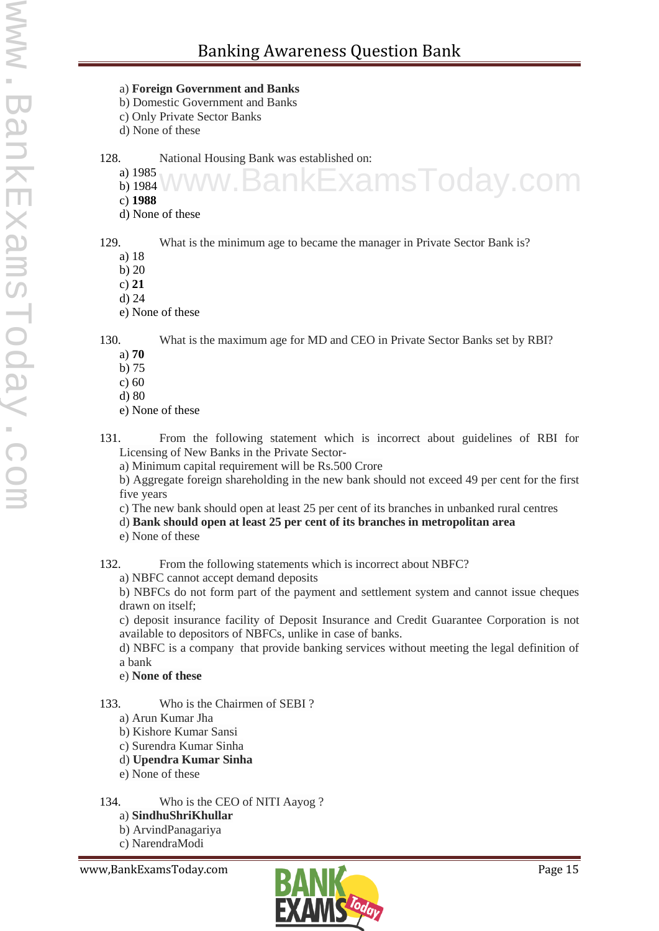a) **Foreign Government and Banks**

b) Domestic Government and Banks

c) Only Private Sector Banks

d) None of these

128. National Housing Bank was established on:

- a) 1985
- b) 1984
- c) **1988**
- d) None of these

129. What is the minimum age to became the manager in Private Sector Bank is?

ExamsToday.com

a) 18

b) 20

c) **21**

d) 24

e) None of these

130. What is the maximum age for MD and CEO in Private Sector Banks set by RBI?

- a) **70**
- b) 75
- c) 60
- d) 80
- e) None of these

131. From the following statement which is incorrect about guidelines of RBI for Licensing of New Banks in the Private Sector-

a) Minimum capital requirement will be Rs.500 Crore

b) Aggregate foreign shareholding in the new bank should not exceed 49 per cent for the first five years

c) The new bank should open at least 25 per cent of its branches in unbanked rural centres

d) **Bank should open at least 25 per cent of its branches in metropolitan area**

e) None of these

132. From the following statements which is incorrect about NBFC?

a) NBFC cannot accept demand deposits

b) NBFCs do not form part of the payment and settlement system and cannot issue cheques drawn on itself;

c) deposit insurance facility of Deposit Insurance and Credit Guarantee Corporation is not available to depositors of NBFCs, unlike in case of banks.

d) NBFC is a company that provide banking services without meeting the legal definition of a bank

#### e) **None of these**

- 133. Who is the Chairmen of SEBI ?
	- a) Arun Kumar Jha
	- b) Kishore Kumar Sansi
	- c) Surendra Kumar Sinha
	- d) **Upendra Kumar Sinha**
	- e) None of these

134. Who is the CEO of NITI Aayog ?

a) **SindhuShriKhullar**

- b) ArvindPanagariya
- c) NarendraModi

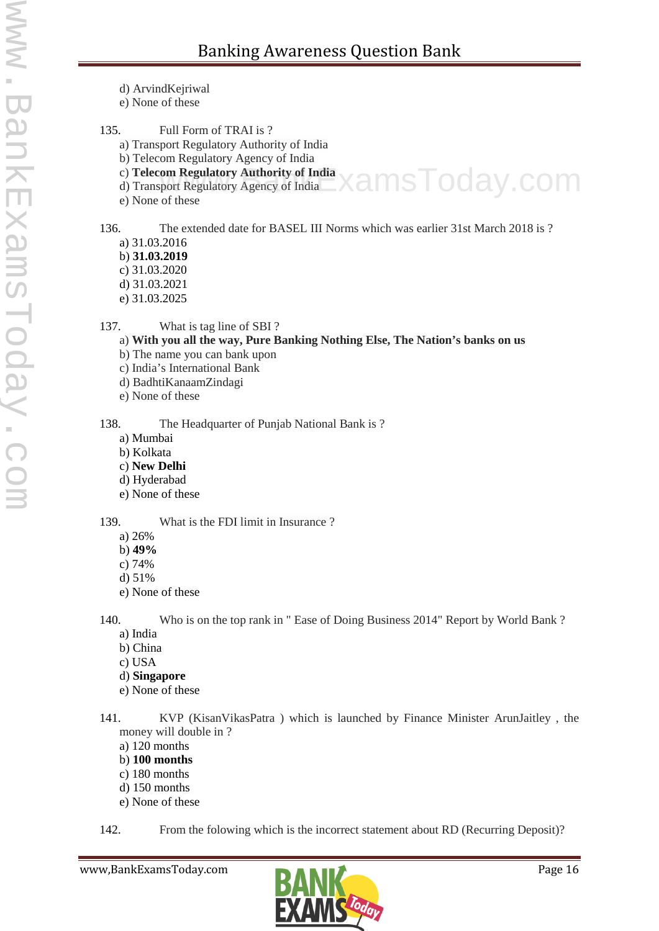- d) ArvindKejriwal
- e) None of these
- 135. Full Form of TRAI is ?
	- a) Transport Regulatory Authority of India
	- b) Telecom Regulatory Agency of India
	- c) **Telecom Regulatory Authority of India**
	- d) Transport Regulatory Agency of India
	- e) None of these
- 136. The extended date for BASEL III Norms which was earlier 31st March 2018 is ?

kamsToday.com

- a) 31.03.2016
- b) **31.03.2019**
- c) 31.03.2020
- d) 31.03.2021
- e) 31.03.2025
- 137. What is tag line of SBI ?

#### a) **With you all the way, Pure Banking Nothing Else, The Nation's banks on us**

- b) The name you can bank upon
- c) India's International Bank
- d) BadhtiKanaamZindagi
- e) None of these

138. The Headquarter of Punjab National Bank is ?

- a) Mumbai
- b) Kolkata
- c) **New Delhi**
- d) Hyderabad
- e) None of these

### 139. What is the FDI limit in Insurance ?

- a) 26%
- b) **49%**
- c) 74%
- d) 51%
- e) None of these

140. Who is on the top rank in " Ease of Doing Business 2014" Report by World Bank ?

- a) India
- b) China
- c) USA
- d) **Singapore**
- e) None of these
- 141. KVP (KisanVikasPatra ) which is launched by Finance Minister ArunJaitley , the money will double in ?
	- a) 120 months
	- b) **100 months**
	- c) 180 months
	- d) 150 months
	- e) None of these
- 142. From the folowing which is the incorrect statement about RD (Recurring Deposit)?

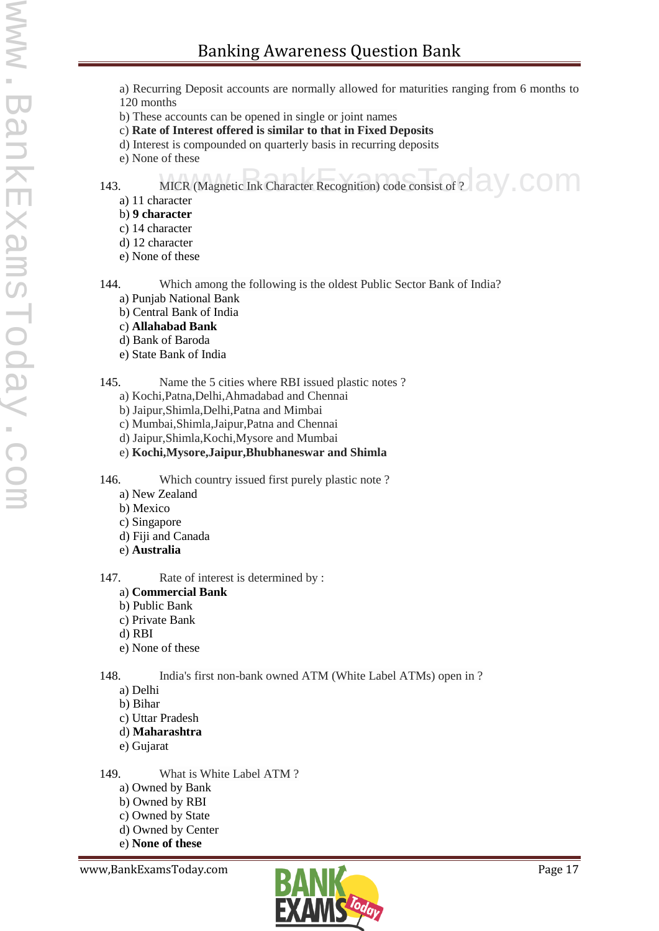- a) Recurring Deposit accounts are normally allowed for maturities ranging from 6 months to 120 months
- b) These accounts can be opened in single or joint names
- c) **Rate of Interest offered is similar to that in Fixed Deposits**
- d) Interest is compounded on quarterly basis in recurring deposits
- e) None of these

143. MICR (Magnetic Ink Character Recognition) code consist of ? **a** V COM

- a) 11 character
- b) **9 character**
- c) 14 character
- d) 12 character
- e) None of these

#### 144. Which among the following is the oldest Public Sector Bank of India?

- a) Punjab National Bank
- b) Central Bank of India
- c) **Allahabad Bank**
- d) Bank of Baroda
- e) State Bank of India

#### 145. Name the 5 cities where RBI issued plastic notes ?

- a) Kochi,Patna,Delhi,Ahmadabad and Chennai
- b) Jaipur,Shimla,Delhi,Patna and Mimbai
- c) Mumbai,Shimla,Jaipur,Patna and Chennai
- d) Jaipur,Shimla,Kochi,Mysore and Mumbai
- e) **Kochi,Mysore,Jaipur,Bhubhaneswar and Shimla**

146. Which country issued first purely plastic note ?

- a) New Zealand
- b) Mexico
- c) Singapore
- d) Fiji and Canada
- e) **Australia**
- 147. Rate of interest is determined by :
	- a) **Commercial Bank**
	- b) Public Bank
	- c) Private Bank
	- d) RBI
	- e) None of these

148. India's first non-bank owned ATM (White Label ATMs) open in ?

- a) Delhi
- b) Bihar
- c) Uttar Pradesh
- d) **Maharashtra**
- e) Gujarat

149. What is White Label ATM ?

- a) Owned by Bank
- b) Owned by RBI
- c) Owned by State
- d) Owned by Center
- e) **None of these**

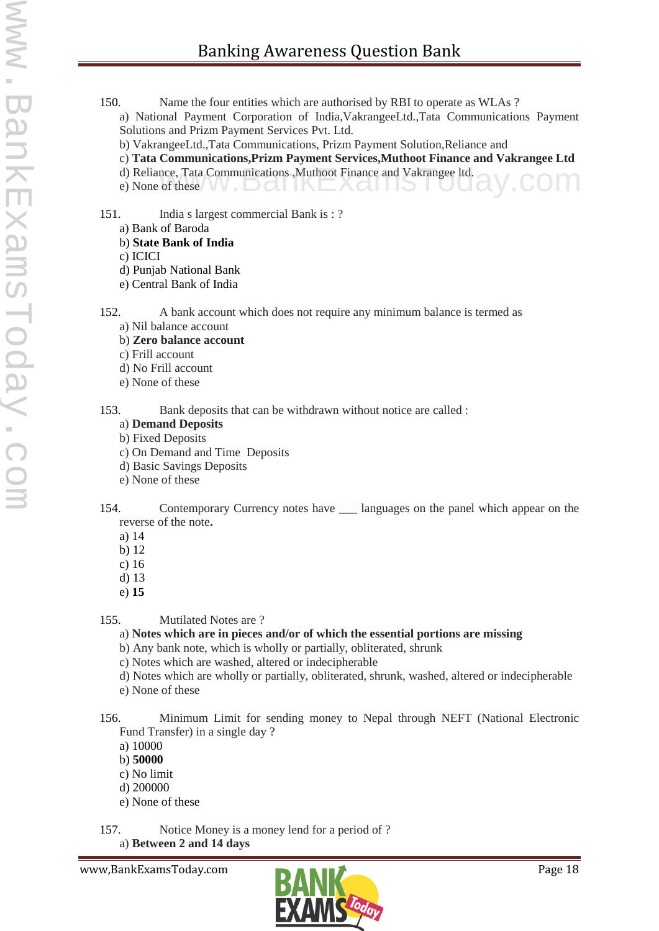150. Name the four entities which are authorised by RBI to operate as WLAs ?

a) National Payment Corporation of India,VakrangeeLtd.,Tata Communications Payment Solutions and Prizm Payment Services Pvt. Ltd.

- b) VakrangeeLtd.,Tata Communications, Prizm Payment Solution,Reliance and
- c) **Tata Communications,Prizm Payment Services,Muthoot Finance and Vakrangee Ltd**
- d) Reliance, Tata Communications ,Muthoot Finance and Vakrangee ltd.
- d) Reliance, Tata Communications , Muthoot Finance and Vakrangee ltd.<br>
e) None of these

151. India s largest commercial Bank is : ?

- a) Bank of Baroda
- b) **State Bank of India**
- c) ICICI
- d) Punjab National Bank
- e) Central Bank of India

152. A bank account which does not require any minimum balance is termed as

- a) Nil balance account
- b) **Zero balance account**
- c) Frill account
- d) No Frill account
- e) None of these

153. Bank deposits that can be withdrawn without notice are called :

- a) **Demand Deposits**
- b) Fixed Deposits
- c) On Demand and Time Deposits
- d) Basic Savings Deposits
- e) None of these

154. Contemporary Currency notes have \_\_\_ languages on the panel which appear on the reverse of the note**.**

- a) 14
- b) 12
- c) 16
- d) 13
- e) **15**

155. Mutilated Notes are ?

### a) **Notes which are in pieces and/or of which the essential portions are missing**

- b) Any bank note, which is wholly or partially, obliterated, shrunk
- c) Notes which are washed, altered or indecipherable
- d) Notes which are wholly or partially, obliterated, shrunk, washed, altered or indecipherable e) None of these
- 156. Minimum Limit for sending money to Nepal through NEFT (National Electronic Fund Transfer) in a single day ?
	- a) 10000
	- b) **50000**
	- c) No limit
	- d) 200000
	- e) None of these

157. Notice Money is a money lend for a period of ?

a) **Between 2 and 14 days**

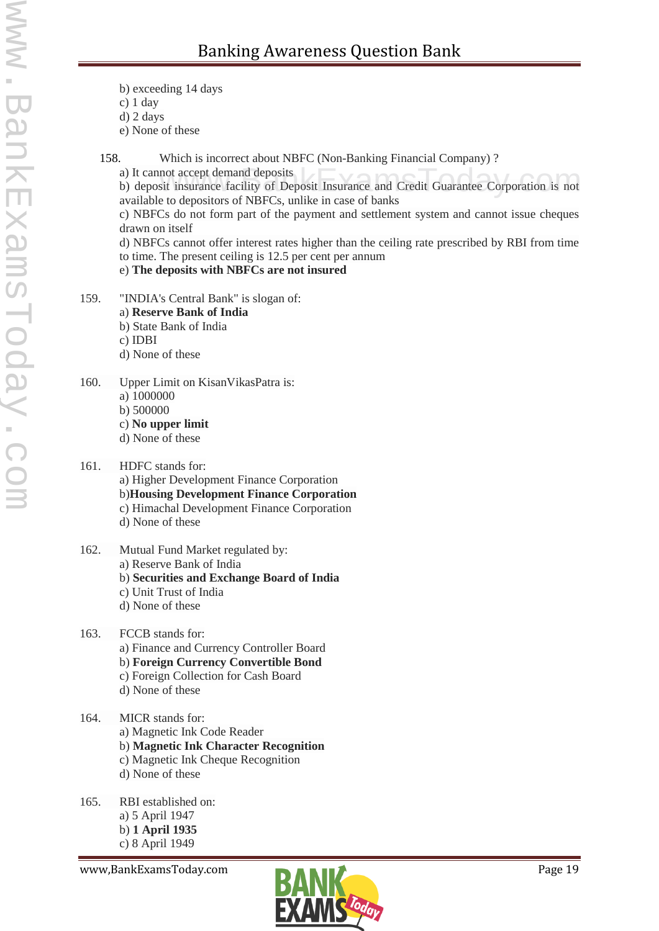- b) exceeding 14 days
- c) 1 day
- d) 2 days
- e) None of these
- - 158. Which is incorrect about NBFC (Non-Banking Financial Company) ?
		- a) It cannot accept demand deposits
		- a) It cannot accept demand deposits<br>b) deposit insurance facility of Deposit Insurance and Credit Guarantee Corporation is not available to depositors of NBFCs, unlike in case of banks
		- c) NBFCs do not form part of the payment and settlement system and cannot issue cheques drawn on itself
		- d) NBFCs cannot offer interest rates higher than the ceiling rate prescribed by RBI from time to time. The present ceiling is 12.5 per cent per annum
		- e) **The deposits with NBFCs are not insured**
- 159. "INDIA's Central Bank" is slogan of: a) **Reserve Bank of India** b) State Bank of India
	- c) IDBI
	- d) None of these
- 160. Upper Limit on KisanVikasPatra is: a) 1000000 b) 500000
	- c) **No upper limit**
	- d) None of these
- 161. HDFC stands for: a) Higher Development Finance Corporation b)**Housing Development Finance Corporation** c) Himachal Development Finance Corporation d) None of these
- 162. Mutual Fund Market regulated by: a) Reserve Bank of India b) **Securities and Exchange Board of India** c) Unit Trust of India d) None of these
- 163. FCCB stands for: a) Finance and Currency Controller Board b) **Foreign Currency Convertible Bond** c) Foreign Collection for Cash Board d) None of these
- 164. MICR stands for: a) Magnetic Ink Code Reader b) **Magnetic Ink Character Recognition** c) Magnetic Ink Cheque Recognition d) None of these
- 165. RBI established on: a) 5 April 1947 b) **1 April 1935** c) 8 April 1949

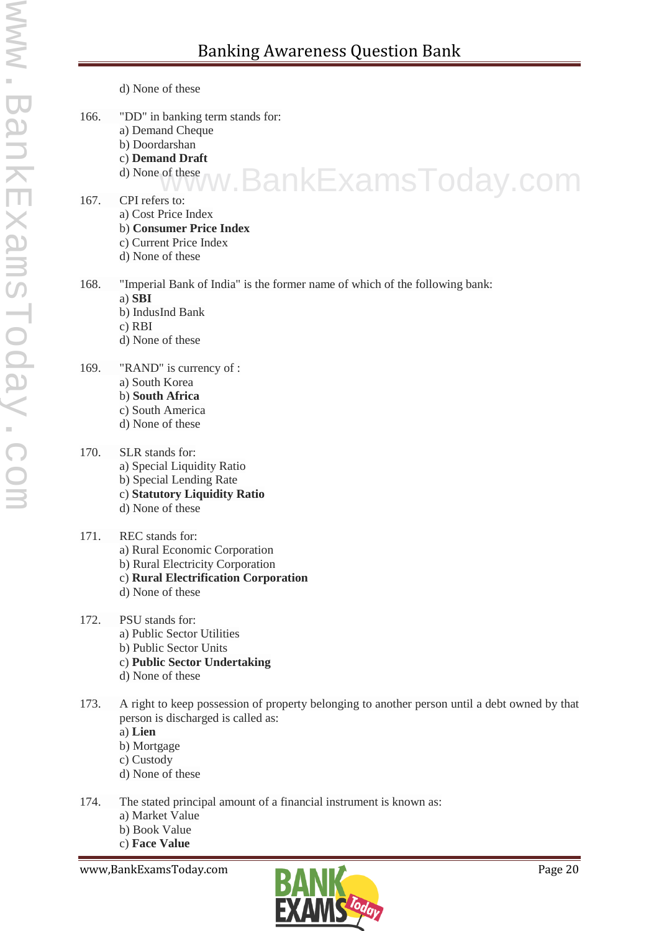|      | d) None of these                                                                                                                                                            |
|------|-----------------------------------------------------------------------------------------------------------------------------------------------------------------------------|
| 166. | "DD" in banking term stands for:<br>a) Demand Cheque<br>b) Doordarshan<br>c) Demand Draft<br>d) None of these WW. BankExamsToday.com                                        |
| 167. | CPI refers to:<br>a) Cost Price Index<br>b) Consumer Price Index<br>c) Current Price Index<br>d) None of these                                                              |
| 168. | "Imperial Bank of India" is the former name of which of the following bank:<br>$a)$ SBI<br>b) IndusInd Bank<br>c) RBI<br>d) None of these                                   |
| 169. | "RAND" is currency of :<br>a) South Korea<br>b) South Africa<br>c) South America<br>d) None of these                                                                        |
| 170. | SLR stands for:<br>a) Special Liquidity Ratio<br>b) Special Lending Rate<br>c) Statutory Liquidity Ratio<br>d) None of these                                                |
| 171. | REC stands for:<br>a) Rural Economic Corporation<br>b) Rural Electricity Corporation<br>c) Rural Electrification Corporation<br>d) None of these                            |
| 172. | PSU stands for:<br>a) Public Sector Utilities<br>b) Public Sector Units<br>c) Public Sector Undertaking<br>d) None of these                                                 |
| 173. | A right to keep possession of property belonging to another person until a debt owned by that<br>person is discharged is called as:<br>a) Lien<br>b) Mortgage<br>c) Custody |

- d) None of these
- 174. The stated principal amount of a financial instrument is known as:
	- a) Market Value
	- b) Book Value
	- c) **Face Value**

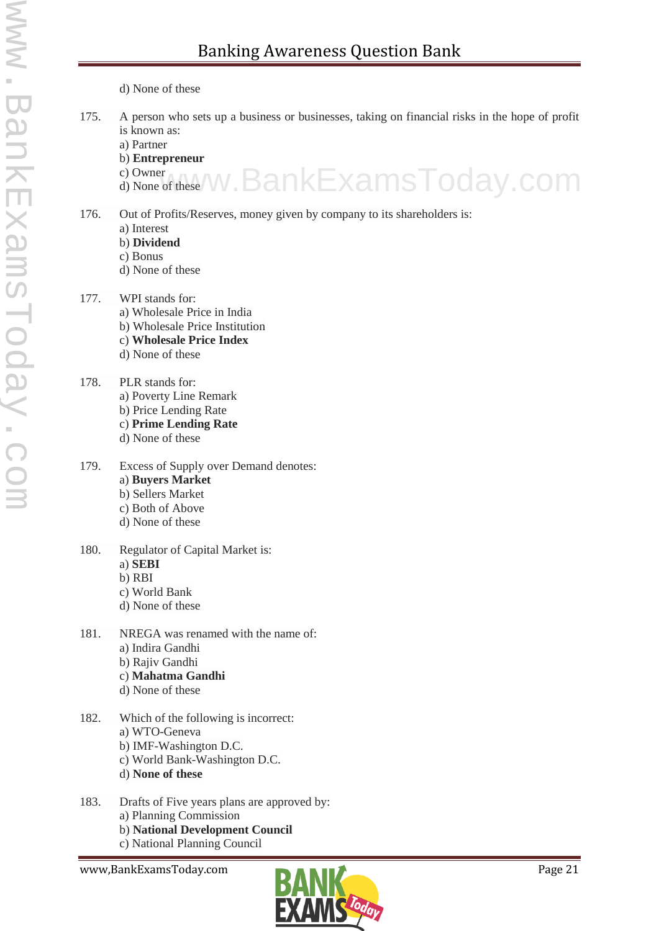d) None of these

175. A person who sets up a business or businesses, taking on financial risks in the hope of profit is known as:

w.BankExamsToday.com

- a) Partner
- b) **Entrepreneur**
- c) Owner
- d) None of these
- 176. Out of Profits/Reserves, money given by company to its shareholders is:
	- a) Interest
	- b) **Dividend**
	- c) Bonus
	- d) None of these
- 177. WPI stands for:
	- a) Wholesale Price in India
	- b) Wholesale Price Institution
	- c) **Wholesale Price Index**
	- d) None of these
- 178. PLR stands for: a) Poverty Line Remark b) Price Lending Rate c) **Prime Lending Rate** d) None of these
- 179. Excess of Supply over Demand denotes: a) **Buyers Market** b) Sellers Market c) Both of Above d) None of these
- 180. Regulator of Capital Market is: a) **SEBI** b) RBI c) World Bank d) None of these
- 181. NREGA was renamed with the name of: a) Indira Gandhi b) Rajiv Gandhi c) **Mahatma Gandhi** d) None of these
- 182. Which of the following is incorrect: a) WTO-Geneva b) IMF-Washington D.C. c) World Bank-Washington D.C. d) **None of these**
- 183. Drafts of Five years plans are approved by: a) Planning Commission b) **National Development Council** c) National Planning Council

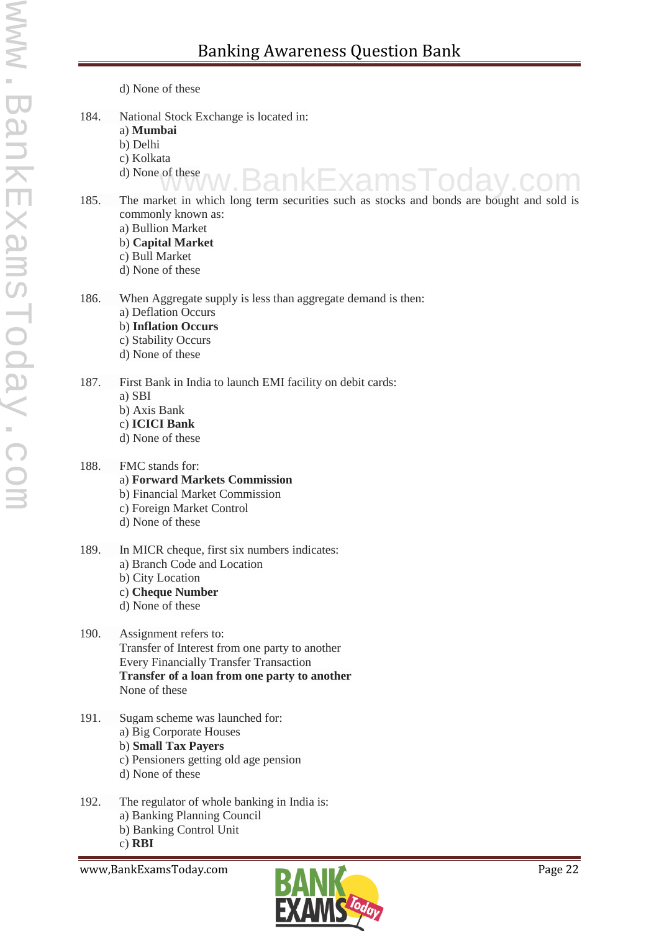|      | d) None of these                                                                                                                                                                               |
|------|------------------------------------------------------------------------------------------------------------------------------------------------------------------------------------------------|
| 184. | National Stock Exchange is located in:<br>a) Mumbai<br>b) Delhi<br>c) Kolkata<br>d) None of these WW. BankExamsToday.cor                                                                       |
| 185. | The market in which long term securities such as stocks and bonds are bought and sold is<br>commonly known as:<br>a) Bullion Market<br>b) Capital Market<br>c) Bull Market<br>d) None of these |
| 186. | When Aggregate supply is less than aggregate demand is then:<br>a) Deflation Occurs<br>b) Inflation Occurs<br>c) Stability Occurs<br>d) None of these                                          |
| 187. | First Bank in India to launch EMI facility on debit cards:<br>a) SBI<br>b) Axis Bank<br>c) ICICI Bank<br>d) None of these                                                                      |
| 188. | FMC stands for:<br>a) Forward Markets Commission<br>b) Financial Market Commission<br>c) Foreign Market Control<br>d) None of these                                                            |
| 189. | In MICR cheque, first six numbers indicates:<br>a) Branch Code and Location<br>b) City Location<br>c) Cheque Number<br>d) None of these                                                        |
| 190. | Assignment refers to:<br>Transfer of Interest from one party to another<br><b>Every Financially Transfer Transaction</b><br>Transfer of a loan from one party to another<br>None of these      |
| 191. | Sugam scheme was launched for:<br>a) Big Corporate Houses<br>b) Small Tax Payers<br>c) Pensioners getting old age pension<br>d) None of these                                                  |
| 192. | The regulator of whole banking in India is:<br>a) Banking Planning Council<br>b) Banking Control Unit<br>$c)$ RBI                                                                              |

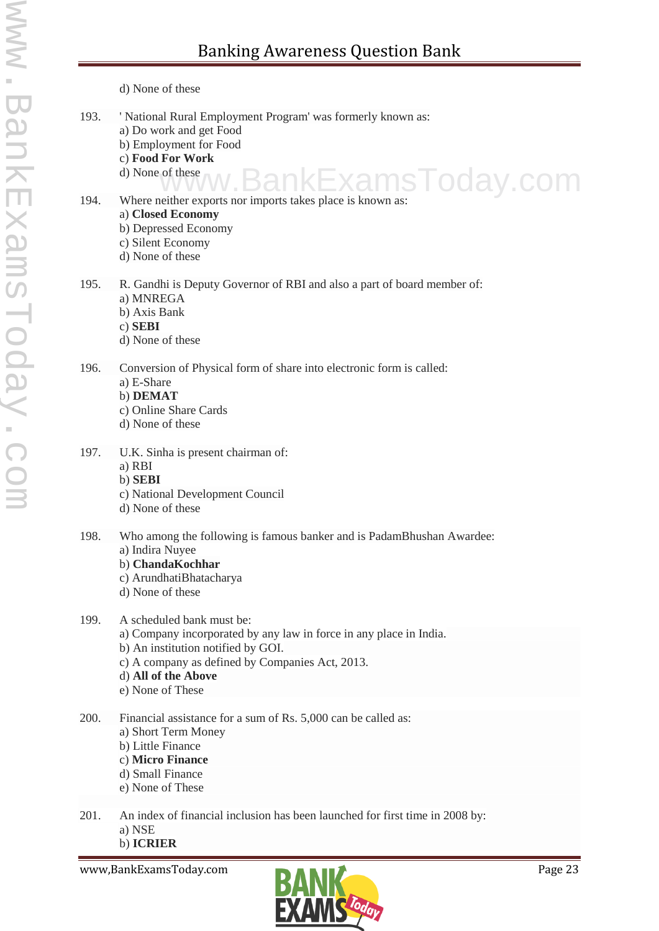|      | Danning Awarchess Question Dann                                                                                                                                                                                                     |
|------|-------------------------------------------------------------------------------------------------------------------------------------------------------------------------------------------------------------------------------------|
|      | d) None of these                                                                                                                                                                                                                    |
| 193. | ' National Rural Employment Program' was formerly known as:<br>a) Do work and get Food<br>b) Employment for Food<br>c) Food For Work<br>d) None of these<br>w.BankExamsToday.com                                                    |
| 194. | Where neither exports nor imports takes place is known as:<br>a) Closed Economy<br>b) Depressed Economy<br>c) Silent Economy<br>d) None of these                                                                                    |
| 195. | R. Gandhi is Deputy Governor of RBI and also a part of board member of:<br>a) MNREGA<br>b) Axis Bank<br>c) SEBI<br>d) None of these                                                                                                 |
| 196. | Conversion of Physical form of share into electronic form is called:<br>a) E-Share<br>b) DEMAT<br>c) Online Share Cards<br>d) None of these                                                                                         |
| 197. | U.K. Sinha is present chairman of:<br>a) RBI<br>b) SEBI<br>c) National Development Council<br>d) None of these                                                                                                                      |
| 198. | Who among the following is famous banker and is PadamBhushan Awardee:<br>a) Indira Nuyee<br>b) ChandaKochhar<br>c) ArundhatiBhatacharya<br>d) None of these                                                                         |
| 199. | A scheduled bank must be:<br>a) Company incorporated by any law in force in any place in India.<br>b) An institution notified by GOI.<br>c) A company as defined by Companies Act, 2013.<br>d) All of the Above<br>e) None of These |
| 200. | Financial assistance for a sum of Rs. 5,000 can be called as:<br>a) Short Term Money<br>b) Little Finance<br>c) Micro Finance<br>d) Small Finance<br>e) None of These                                                               |
| 201. | An index of financial inclusion has been launched for first time in 2008 by:<br>a) NSE<br>b) ICRIER                                                                                                                                 |

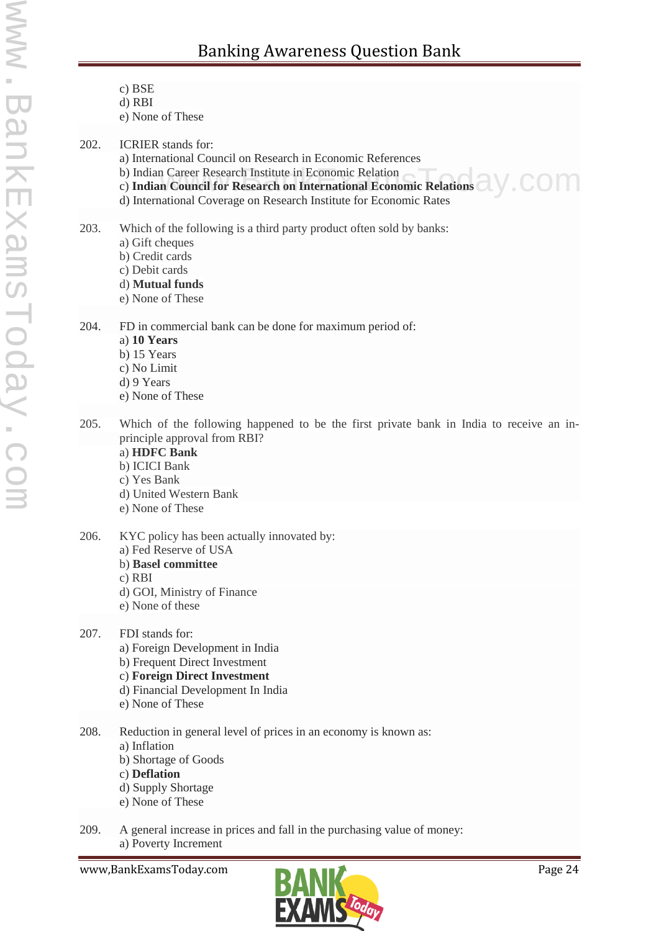- c) BSE
- d) RBI
- e) None of These
- 202. ICRIER stands for:
	- a) International Council on Research in Economic References
	- b) Indian Career Research Institute in Economic Relation
	- b) Indian Career Research Institute in Economic Relation<br>c) **Indian Council for Research on International Economic Relations**
	- d) International Coverage on Research Institute for Economic Rates
- 203. Which of the following is a third party product often sold by banks:
	- a) Gift cheques
	- b) Credit cards
	- c) Debit cards
	- d) **Mutual funds**
	- e) None of These
- 204. FD in commercial bank can be done for maximum period of:
	- a) **10 Years**
	- b) 15 Years
	- c) No Limit
	- d) 9 Years
	- e) None of These
- 205. Which of the following happened to be the first private bank in India to receive an in principle approval from RBI?
	- a) **HDFC Bank** b) ICICI Bank
	- c) Yes Bank
	- d) United Western Bank
	- e) None of These
- 206. KYC policy has been actually innovated by: a) Fed Reserve of USA b) **Basel committee** c) RBI d) GOI, Ministry of Finance e) None of these
- 207. FDI stands for: a) Foreign Development in India b) Frequent Direct Investment c) **Foreign Direct Investment** d) Financial Development In India e) None of These
- 208. Reduction in general level of prices in an economy is known as: a) Inflation b) Shortage of Goods c) **Deflation** d) Supply Shortage
	- e) None of These
- 209. A general increase in prices and fall in the purchasing value of money: a) Poverty Increment

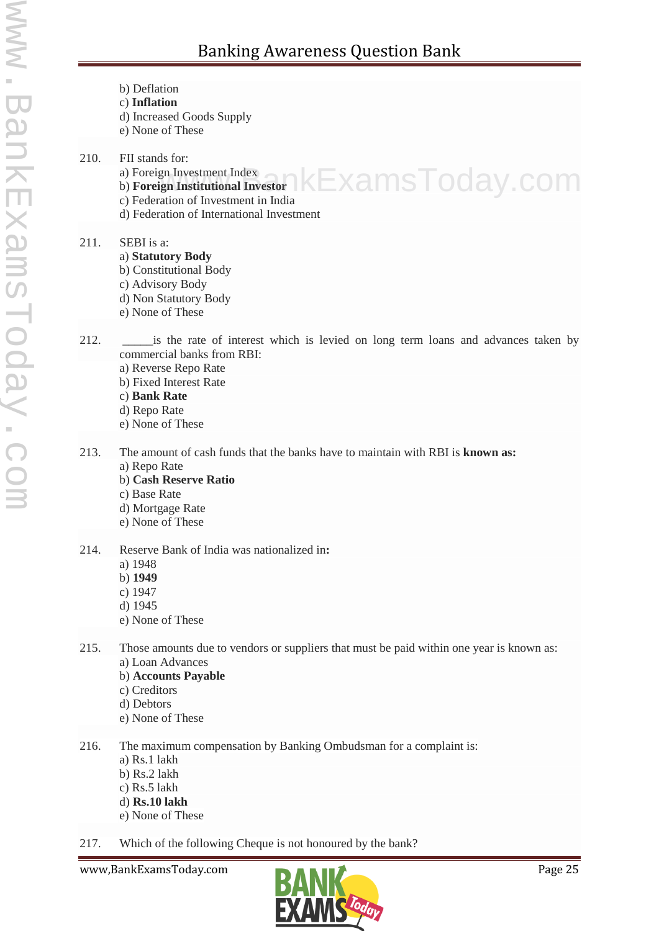- www.BankExamsToday.comwww.BankExamsToday.c
- b) Deflation c) **Inflation**
- d) Increased Goods Supply
- e) None of These
- 210. FII stands for:
	- a) Foreign Investment Index
	- b) **Foreign Institutional Investor**
	- c) Federation of Investment in India
	- d) Federation of International Investment
- 211. SEBI is a:
	- a) **Statutory Body**
	- b) Constitutional Body
	- c) Advisory Body
	- d) Non Statutory Body
	- e) None of These
- 212. \_\_\_\_\_is the rate of interest which is levied on long term loans and advances taken by commercial banks from RBI:

kExamsToday.com

- a) Reverse Repo Rate
- b) Fixed Interest Rate
- c) **Bank Rate**
- d) Repo Rate
- e) None of These
- 213. The amount of cash funds that the banks have to maintain with RBI is **known as:** a) Repo Rate
	- b) **Cash Reserve Ratio**
	- c) Base Rate
	- d) Mortgage Rate
	- e) None of These

### 214. Reserve Bank of India was nationalized in**:**

- a) 1948
- b) **1949**
- c) 1947
- d) 1945
- e) None of These
- 215. Those amounts due to vendors or suppliers that must be paid within one year is known as: a) Loan Advances
	- b) **Accounts Payable**
	- c) Creditors
	- d) Debtors
	- e) None of These
- 216. The maximum compensation by Banking Ombudsman for a complaint is:
	- a) Rs.1 lakh
	- b) Rs.2 lakh
	- c) Rs.5 lakh
	- d) **Rs.10 lakh**
	- e) None of These
- 217. Which of the following Cheque is not honoured by the bank?

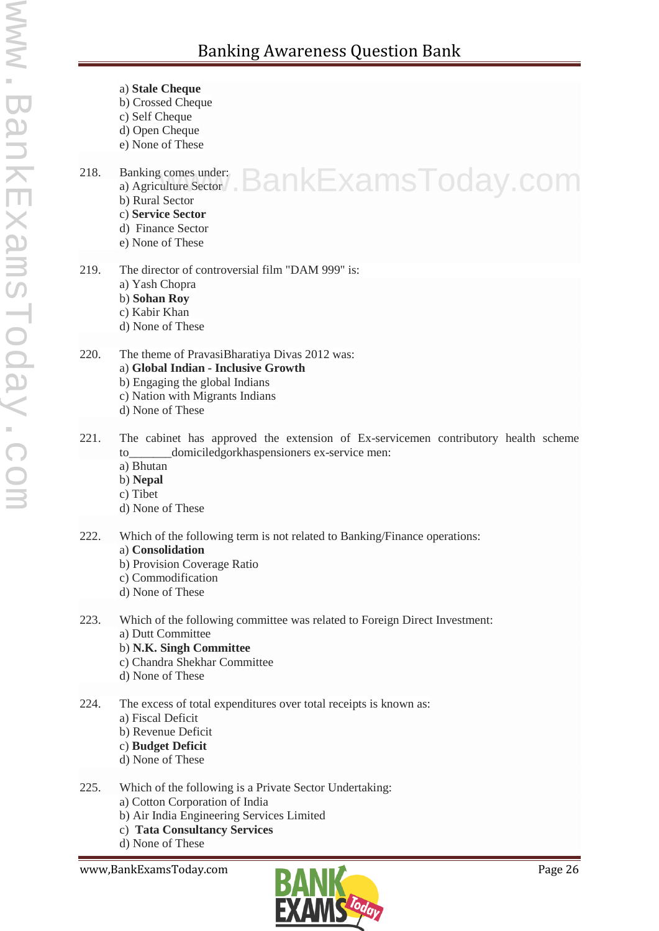a) **Stale Cheque** b) Crossed Cheque c) Self Cheque d) Open Cheque e) None of These 218. Banking comes under: Banking comes under: BankExamsToday.com b) Rural Sector c) **Service Sector** d) Finance Sector e) None of These 219. The director of controversial film "DAM 999" is: a) Yash Chopra b) **Sohan Roy** c) Kabir Khan d) None of These 220. The theme of PravasiBharatiya Divas 2012 was: a) **Global Indian - Inclusive Growth** b) Engaging the global Indians c) Nation with Migrants Indians d) None of These 221. The cabinet has approved the extension of Ex-servicemen contributory health scheme to\_\_\_\_\_\_\_domiciledgorkhaspensioners ex-service men: a) Bhutan b) **Nepal** c) Tibet d) None of These 222. Which of the following term is not related to Banking/Finance operations: a) **Consolidation** b) Provision Coverage Ratio c) Commodification d) None of These 223. Which of the following committee was related to Foreign Direct Investment: a) Dutt Committee b) **N.K. Singh Committee** c) Chandra Shekhar Committee d) None of These 224. The excess of total expenditures over total receipts is known as: a) Fiscal Deficit b) Revenue Deficit c) **Budget Deficit** d) None of These 225. Which of the following is a Private Sector Undertaking: a) Cotton Corporation of India b) Air India Engineering Services Limited c) **Tata Consultancy Services** d) None of These

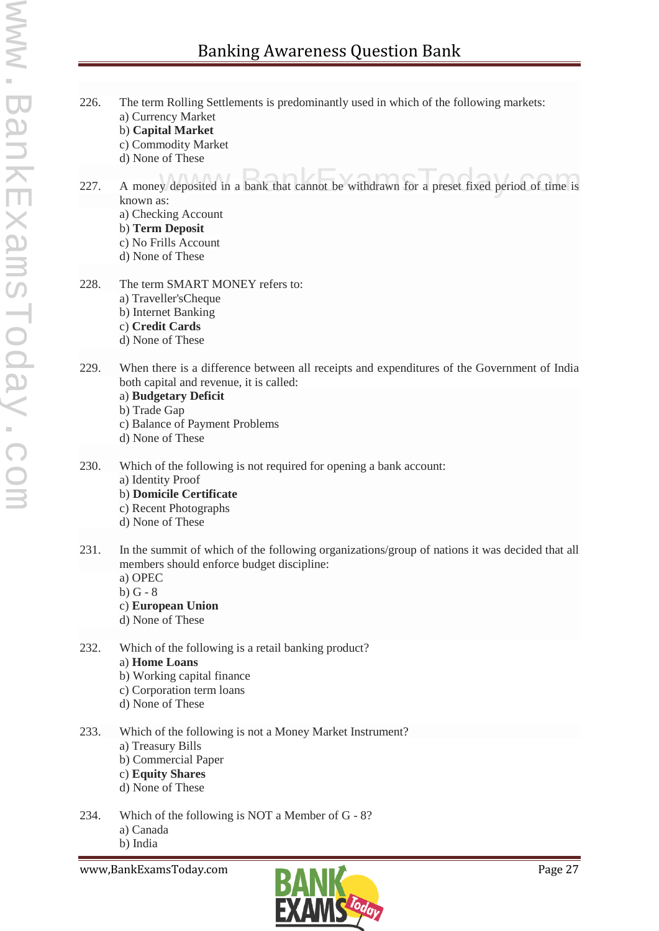| 226. | The term Rolling Settlements is predominantly used in which of the following markets:<br>a) Currency Market<br>b) Capital Market<br>c) Commodity Market<br>d) None of These                                                          |
|------|--------------------------------------------------------------------------------------------------------------------------------------------------------------------------------------------------------------------------------------|
| 227. | A money deposited in a bank that cannot be withdrawn for a preset fixed period of time is<br>known as:<br>a) Checking Account<br>b) Term Deposit<br>c) No Frills Account<br>d) None of These                                         |
| 228. | The term SMART MONEY refers to:<br>a) Traveller's Cheque<br>b) Internet Banking<br>c) Credit Cards<br>d) None of These                                                                                                               |
| 229. | When there is a difference between all receipts and expenditures of the Government of India<br>both capital and revenue, it is called:<br>a) Budgetary Deficit<br>b) Trade Gap<br>c) Balance of Payment Problems<br>d) None of These |
| 230. | Which of the following is not required for opening a bank account:<br>a) Identity Proof<br>b) Domicile Certificate<br>c) Recent Photographs<br>d) None of These                                                                      |
| 231. | In the summit of which of the following organizations/group of nations it was decided that all<br>members should enforce budget discipline:<br>a) OPEC<br>b) $G - 8$<br>c) European Union<br>d) None of These                        |
| 232. | Which of the following is a retail banking product?<br>a) Home Loans<br>b) Working capital finance<br>c) Corporation term loans<br>d) None of These                                                                                  |
| 233. | Which of the following is not a Money Market Instrument?<br>a) Treasury Bills<br>b) Commercial Paper<br>c) Equity Shares<br>d) None of These                                                                                         |
| 234. | Which of the following is NOT a Member of G - 8?                                                                                                                                                                                     |

a) Canada b) India

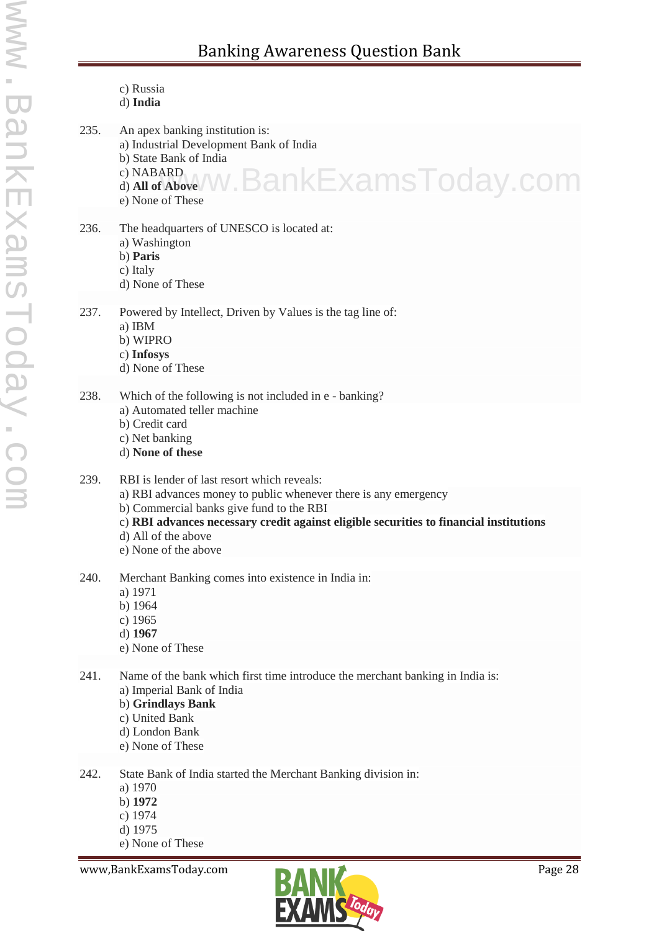|      | c) Russia<br>d) India                                                                                                                                                                                                                                                                               |
|------|-----------------------------------------------------------------------------------------------------------------------------------------------------------------------------------------------------------------------------------------------------------------------------------------------------|
| 235. | An apex banking institution is:<br>a) Industrial Development Bank of India<br>b) State Bank of India<br>c) NABARD<br>c) NABARD<br>d) All of Above W. BankExamsToday.com<br>e) None of These                                                                                                         |
| 236. | The headquarters of UNESCO is located at:                                                                                                                                                                                                                                                           |
|      | a) Washington<br>b) Paris<br>c) Italy<br>d) None of These                                                                                                                                                                                                                                           |
| 237. | Powered by Intellect, Driven by Values is the tag line of:<br>a) IBM<br>b) WIPRO<br>c) Infosys<br>d) None of These                                                                                                                                                                                  |
| 238. | Which of the following is not included in e - banking?                                                                                                                                                                                                                                              |
|      | a) Automated teller machine<br>b) Credit card<br>c) Net banking<br>d) None of these                                                                                                                                                                                                                 |
| 239. | RBI is lender of last resort which reveals:<br>a) RBI advances money to public whenever there is any emergency<br>b) Commercial banks give fund to the RBI<br>c) RBI advances necessary credit against eligible securities to financial institutions<br>d) All of the above<br>e) None of the above |
| 240. | Merchant Banking comes into existence in India in:<br>a) 1971<br>b) 1964<br>c) $1965$<br>d) 1967<br>e) None of These                                                                                                                                                                                |
| 241. | Name of the bank which first time introduce the merchant banking in India is:<br>a) Imperial Bank of India<br>b) Grindlays Bank<br>c) United Bank<br>d) London Bank<br>e) None of These                                                                                                             |
| 242. | State Bank of India started the Merchant Banking division in:<br>a) 1970<br>b) $1972$<br>c) $1974$<br>$1 \times 1075$                                                                                                                                                                               |

e) None of These

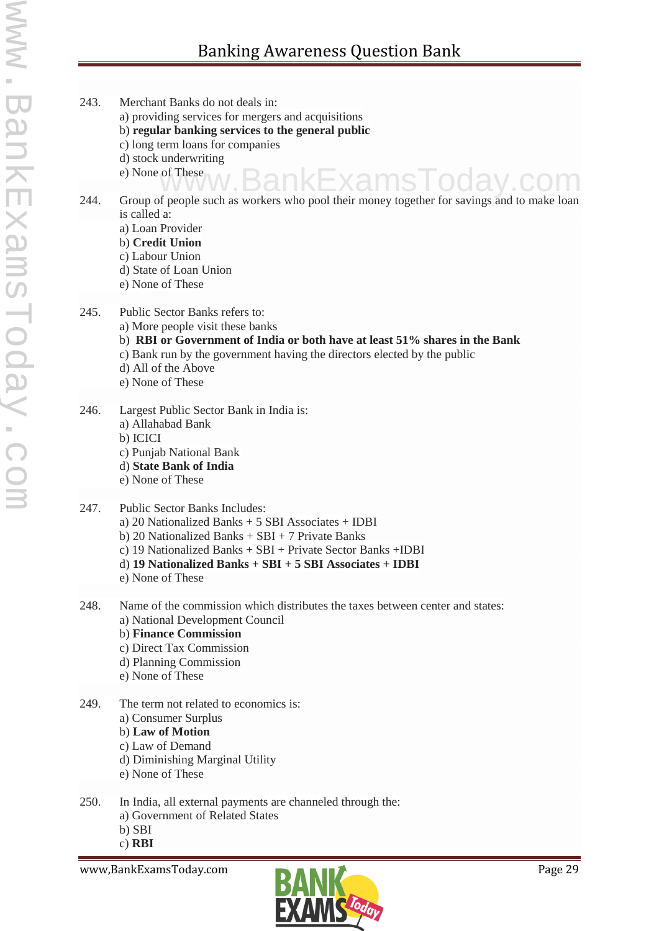243. Merchant Banks do not deals in: a) providing services for mergers and acquisitions b) **regular banking services to the general public** c) long term loans for companies d) stock underwriting e) None of These 244. Group of people such as workers who pool their money together for savings and to make loan is called a: a) Loan Provider b) **Credit Union** c) Labour Union d) State of Loan Union e) None of These 245. Public Sector Banks refers to: a) More people visit these banks b) **RBI or Government of India or both have at least 51% shares in the Bank** c) Bank run by the government having the directors elected by the public d) All of the Above e) None of These 246. Largest Public Sector Bank in India is: a) Allahabad Bank b) ICICI c) Punjab National Bank d) **State Bank of India** e) None of These 247. Public Sector Banks Includes: a) 20 Nationalized Banks + 5 SBI Associates + IDBI b) 20 Nationalized Banks + SBI + 7 Private Banks c) 19 Nationalized Banks + SBI + Private Sector Banks +IDBI d) **19 Nationalized Banks + SBI + 5 SBI Associates + IDBI** e) None of These 248. Name of the commission which distributes the taxes between center and states: a) National Development Council b) **Finance Commission** c) Direct Tax Commission d) Planning Commission e) None of These 249. The term not related to economics is: a) Consumer Surplus b) **Law of Motion** c) Law of Demand d) Diminishing Marginal Utility e) None of These 250. In India, all external payments are channeled through the: a) Government of Related States b) SBI c) **RBI** www.BankExamsToday.com

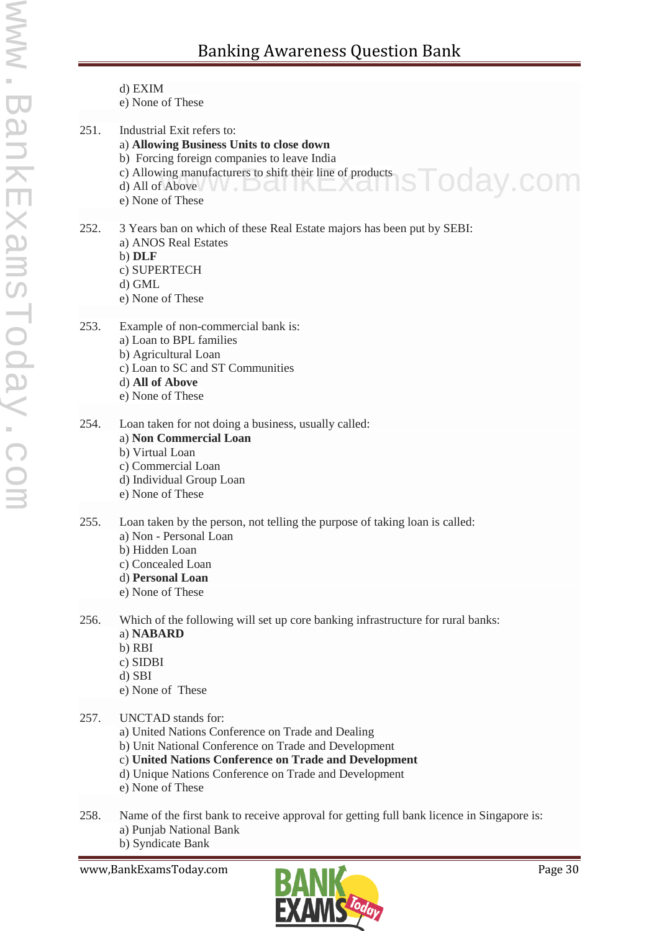d) EXIM e) None of These 251. Industrial Exit refers to: a) **Allowing Business Units to close down** b) Forcing foreign companies to leave India c) Allowing manufacturers to shift their line of products c) Allowing manufacturers to shift their line of products<br>d) All of Above Website Communications of STOOay.com e) None of These 252. 3 Years ban on which of these Real Estate majors has been put by SEBI: a) ANOS Real Estates b) **DLF** c) SUPERTECH d) GML e) None of These 253. Example of non-commercial bank is: a) Loan to BPL families b) Agricultural Loan c) Loan to SC and ST Communities d) **All of Above** e) None of These 254. Loan taken for not doing a business, usually called: a) **Non Commercial Loan** b) Virtual Loan c) Commercial Loan d) Individual Group Loan e) None of These 255. Loan taken by the person, not telling the purpose of taking loan is called: a) Non - Personal Loan b) Hidden Loan c) Concealed Loan d) **Personal Loan** e) None of These 256. Which of the following will set up core banking infrastructure for rural banks: a) **NABARD** b) RBI c) SIDBI d) SBI e) None of These 257. UNCTAD stands for: a) United Nations Conference on Trade and Dealing b) Unit National Conference on Trade and Development c) **United Nations Conference on Trade and Development** d) Unique Nations Conference on Trade and Development e) None of These

- 258. Name of the first bank to receive approval for getting full bank licence in Singapore is: a) Punjab National Bank
	- b) Syndicate Bank

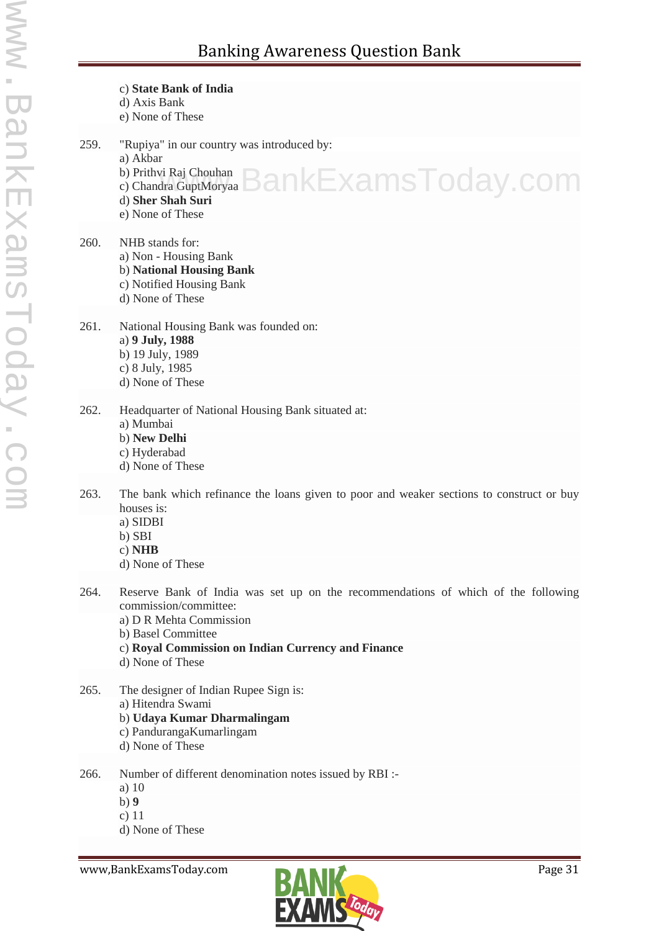|      | c) State Bank of India<br>d) Axis Bank<br>e) None of These                                                                                                                                                                            |
|------|---------------------------------------------------------------------------------------------------------------------------------------------------------------------------------------------------------------------------------------|
| 259. | "Rupiya" in our country was introduced by:<br>a) Akbar<br>b) Prithvi Raj Chouhan<br>b) Prithvi Raj Chouhan<br>c) Chandra GuptMoryaa BankExamsToday.com<br>d) Sher Shah Suri<br>e) None of These                                       |
| 260. | NHB stands for:<br>a) Non - Housing Bank<br>b) National Housing Bank<br>c) Notified Housing Bank<br>d) None of These                                                                                                                  |
| 261. | National Housing Bank was founded on:<br>a) 9 July, 1988<br>b) 19 July, 1989<br>c) 8 July, 1985<br>d) None of These                                                                                                                   |
| 262. | Headquarter of National Housing Bank situated at:<br>a) Mumbai<br>b) New Delhi<br>c) Hyderabad<br>d) None of These                                                                                                                    |
| 263. | The bank which refinance the loans given to poor and weaker sections to construct or buy<br>houses is:<br>a) SIDBI<br>b) SBI<br>$c)$ NHB<br>d) None of These                                                                          |
| 264. | Reserve Bank of India was set up on the recommendations of which of the following<br>commission/committee:<br>a) D R Mehta Commission<br>b) Basel Committee<br>c) Royal Commission on Indian Currency and Finance<br>d) None of These |
| 265. | The designer of Indian Rupee Sign is:<br>a) Hitendra Swami<br>b) Udaya Kumar Dharmalingam<br>c) PandurangaKumarlingam<br>d) None of These                                                                                             |
| 266. | Number of different denomination notes issued by RBI :-<br>a) $10$<br>b)9                                                                                                                                                             |

- c) 11
- d) None of These

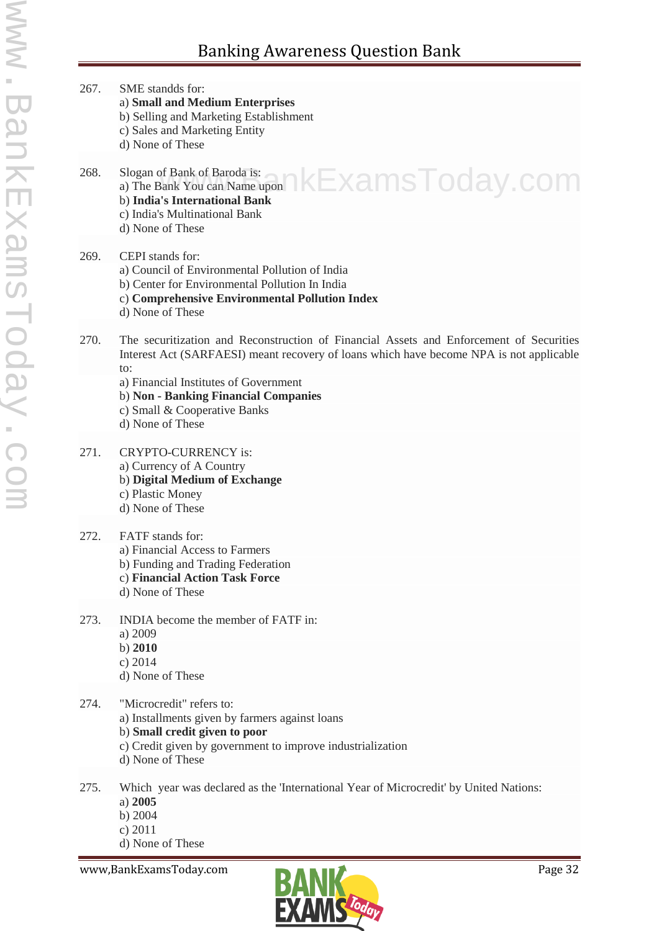| 267. | <b>SME</b> standds for:<br>a) Small and Medium Enterprises<br>b) Selling and Marketing Establishment<br>c) Sales and Marketing Entity<br>d) None of These                                        |
|------|--------------------------------------------------------------------------------------------------------------------------------------------------------------------------------------------------|
| 268. | Slogan of Bank of Baroda is: an A KE Xams Today.COM<br>b) India's International Bank<br>c) India's Multinational Bank<br>d) None of These                                                        |
| 269. | CEPI stands for:<br>a) Council of Environmental Pollution of India<br>b) Center for Environmental Pollution In India<br>c) Comprehensive Environmental Pollution Index<br>d) None of These       |
| 270. | The securitization and Reconstruction of Financial Assets and Enforcement of Securities<br>Interest Act (SARFAESI) meant recovery of loans which have become NPA is not applicable<br>$\alpha$ : |
|      | a) Financial Institutes of Government<br>b) Non - Banking Financial Companies<br>c) Small & Cooperative Banks<br>d) None of These                                                                |
| 271. | <b>CRYPTO-CURRENCY is:</b>                                                                                                                                                                       |
|      | a) Currency of A Country<br>b) Digital Medium of Exchange<br>c) Plastic Money<br>d) None of These                                                                                                |
| 272. | FATF stands for:                                                                                                                                                                                 |
|      | a) Financial Access to Farmers<br>b) Funding and Trading Federation<br>c) Financial Action Task Force<br>d) None of These                                                                        |
| 273. | INDIA become the member of FATF in:<br>a) 2009<br>b) $2010$<br>c) $2014$<br>d) None of These                                                                                                     |
| 274. | "Microcredit" refers to:                                                                                                                                                                         |
|      | a) Installments given by farmers against loans<br>b) Small credit given to poor<br>c) Credit given by government to improve industrialization<br>d) None of These                                |
| 275. | Which year was declared as the 'International Year of Microcredit' by United Nations:<br>a) 2005<br>b) $2004$<br>c) $2011$                                                                       |

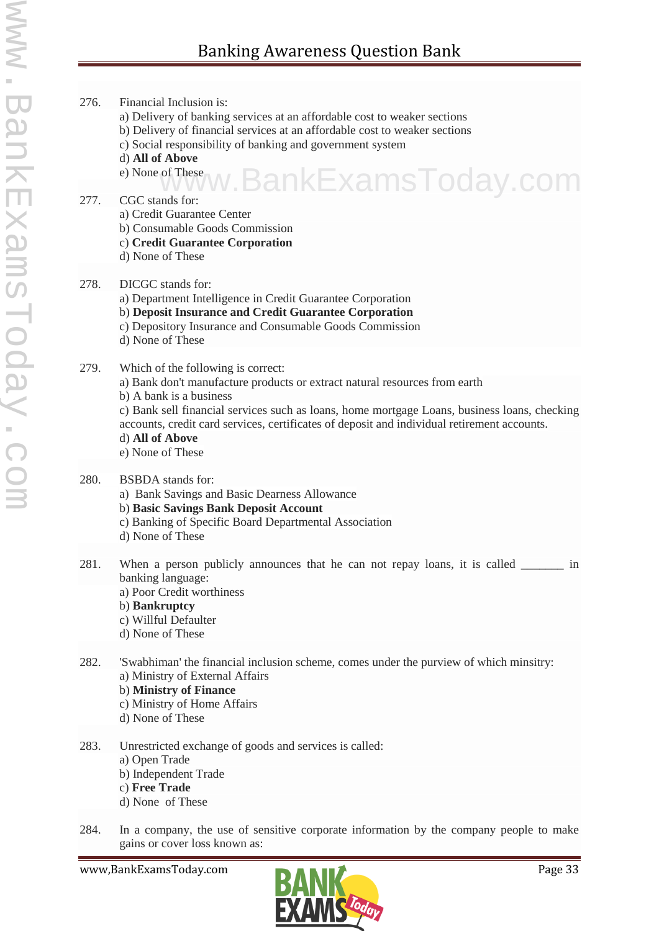| 276. | Financial Inclusion is:<br>a) Delivery of banking services at an affordable cost to weaker sections<br>b) Delivery of financial services at an affordable cost to weaker sections<br>c) Social responsibility of banking and government system<br>d) All of Above<br>e) None of These W. BankExamsToday.com                                                                       |
|------|-----------------------------------------------------------------------------------------------------------------------------------------------------------------------------------------------------------------------------------------------------------------------------------------------------------------------------------------------------------------------------------|
| 277. | CGC stands for:<br>a) Credit Guarantee Center<br>b) Consumable Goods Commission<br>c) Credit Guarantee Corporation<br>d) None of These                                                                                                                                                                                                                                            |
| 278. | DICGC stands for:<br>a) Department Intelligence in Credit Guarantee Corporation<br>b) Deposit Insurance and Credit Guarantee Corporation<br>c) Depository Insurance and Consumable Goods Commission<br>d) None of These                                                                                                                                                           |
| 279. | Which of the following is correct:<br>a) Bank don't manufacture products or extract natural resources from earth<br>b) A bank is a business<br>c) Bank sell financial services such as loans, home mortgage Loans, business loans, checking<br>accounts, credit card services, certificates of deposit and individual retirement accounts.<br>d) All of Above<br>e) None of These |
| 280. | <b>BSBDA</b> stands for:<br>a) Bank Savings and Basic Dearness Allowance<br>b) Basic Savings Bank Deposit Account<br>c) Banking of Specific Board Departmental Association<br>d) None of These                                                                                                                                                                                    |
| 281. | When a person publicly announces that he can not repay loans, it is called<br>1n<br>banking language:<br>a) Poor Credit worthiness<br>b) Bankruptcy<br>c) Willful Defaulter<br>d) None of These                                                                                                                                                                                   |
| 282. | 'Swabhiman' the financial inclusion scheme, comes under the purview of which minsitry:<br>a) Ministry of External Affairs<br>b) Ministry of Finance<br>c) Ministry of Home Affairs<br>d) None of These                                                                                                                                                                            |
| 283. | Unrestricted exchange of goods and services is called:<br>a) Open Trade<br>b) Independent Trade<br>c) Free Trade<br>d) None of These                                                                                                                                                                                                                                              |

284. In a company, the use of sensitive corporate information by the company people to make gains or cover loss known as:

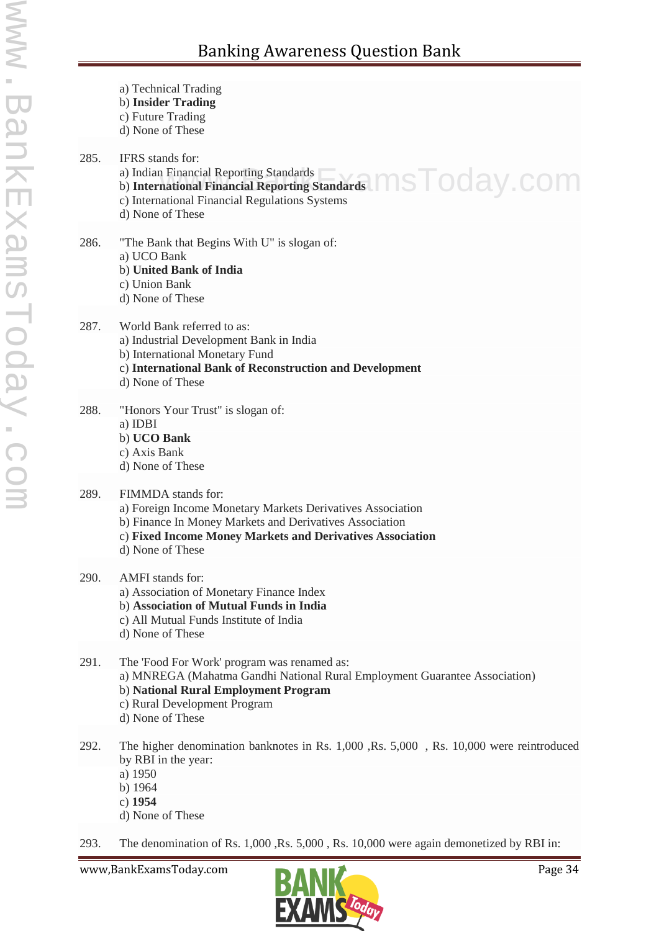|      | a) Technical Trading<br>b) Insider Trading<br>c) Future Trading<br>d) None of These                                                                                                                                                                             |
|------|-----------------------------------------------------------------------------------------------------------------------------------------------------------------------------------------------------------------------------------------------------------------|
| 285. | IFRS stands for:<br>a) Indian Financial Reporting Standards<br>a) Indian Financial Reporting Standards<br>b) International Financial Reporting Standards<br>$\text{MS TOOAV } \text{COM}$<br>c) International Financial Regulations Systems<br>d) None of These |
| 286. | "The Bank that Begins With U" is slogan of:<br>a) UCO Bank<br>b) United Bank of India<br>c) Union Bank<br>d) None of These                                                                                                                                      |
| 287. | World Bank referred to as:<br>a) Industrial Development Bank in India<br>b) International Monetary Fund<br>c) International Bank of Reconstruction and Development<br>d) None of These                                                                          |
| 288. | "Honors Your Trust" is slogan of:<br>a) IDBI<br>b) UCO Bank<br>c) Axis Bank<br>d) None of These                                                                                                                                                                 |
| 289. | FIMMDA stands for:<br>a) Foreign Income Monetary Markets Derivatives Association<br>b) Finance In Money Markets and Derivatives Association<br>c) Fixed Income Money Markets and Derivatives Association<br>d) None of These                                    |
| 290. | AMFI stands for:<br>a) Association of Monetary Finance Index<br>b) Association of Mutual Funds in India<br>c) All Mutual Funds Institute of India<br>d) None of These                                                                                           |
| 291. | The 'Food For Work' program was renamed as:<br>a) MNREGA (Mahatma Gandhi National Rural Employment Guarantee Association)<br>b) National Rural Employment Program<br>c) Rural Development Program<br>d) None of These                                           |
| 292. | The higher denomination banknotes in Rs. 1,000 , Rs. 5,000 , Rs. 10,000 were reintroduced<br>by RBI in the year:<br>a) 1950<br>b) 1964<br>c) $1954$<br>d) None of These                                                                                         |
|      |                                                                                                                                                                                                                                                                 |

293. The denomination of Rs. 1,000 ,Rs. 5,000 , Rs. 10,000 were again demonetized by RBI in:

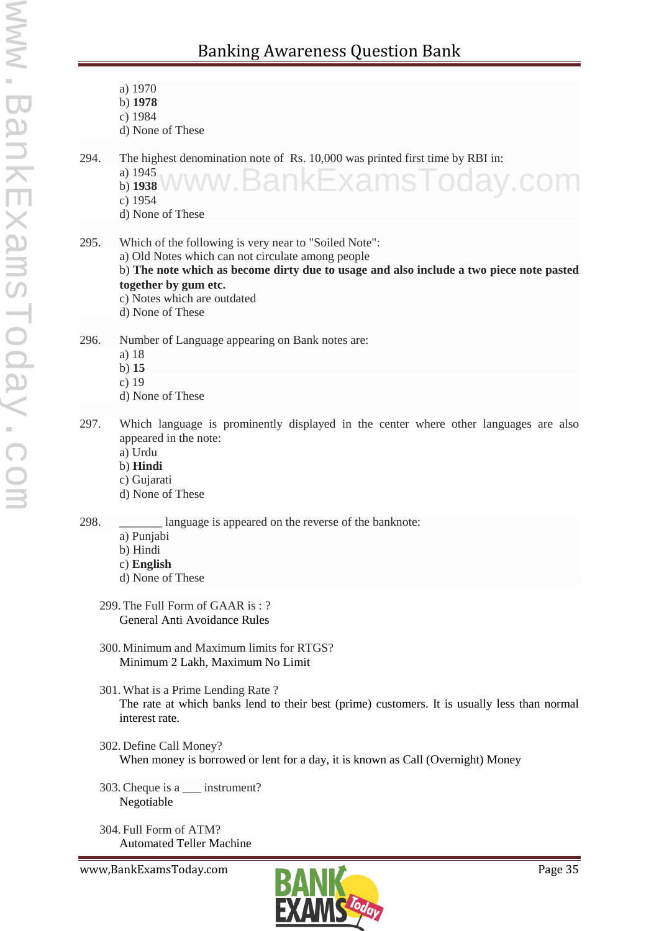- a) 1970
- b) **1978**
- c) 1984
- d) None of These
- 294. The highest denomination note of Rs. 10,000 was printed first time by RBI in:
	- a) 1945 b) **1938**
	- c) 1954
	- d) None of These
- 295. Which of the following is very near to "Soiled Note":
	- a) Old Notes which can not circulate among people

b) **The note which as become dirty due to usage and also include a two piece note pasted together by gum etc.**

www.BankExamsToday.com

- c) Notes which are outdated
- d) None of These
- 296. Number of Language appearing on Bank notes are:
	- a) 18
	- b) **15**
	- c) 19
	- d) None of These
- 297. Which language is prominently displayed in the center where other languages are also appeared in the note:
	- a) Urdu
	- b) **Hindi**
	- c) Gujarati
	- d) None of These
- 298. \_\_\_\_\_\_\_ language is appeared on the reverse of the banknote:
	- a) Punjabi
	- b) Hindi
	- c) **English**
	- d) None of These
	- 299.The Full Form of GAAR is : ? General Anti Avoidance Rules
	- 300. Minimum and Maximum limits for RTGS? Minimum 2 Lakh, Maximum No Limit

301.What is a Prime Lending Rate ?

The rate at which banks lend to their best (prime) customers. It is usually less than normal interest rate.

302. Define Call Money?

When money is borrowed or lent for a day, it is known as Call (Overnight) Money

- 303.Cheque is a \_\_\_ instrument? Negotiable
- 304. Full Form of ATM? Automated Teller Machine

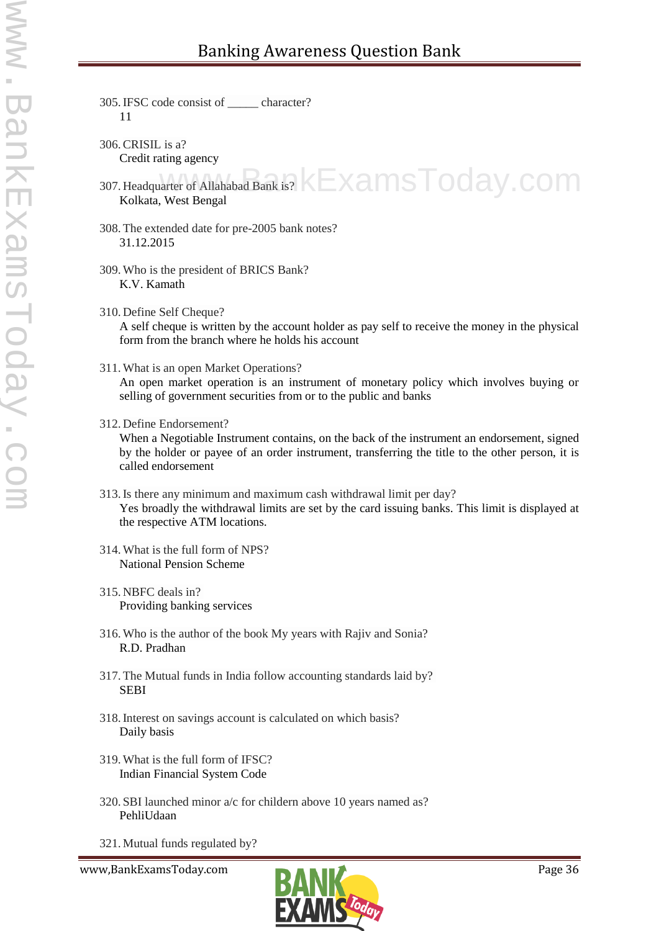| 305. IFSC code consist of ______ character?<br>11                                                                                                                                                                                                 |
|---------------------------------------------------------------------------------------------------------------------------------------------------------------------------------------------------------------------------------------------------|
| 306. CRISIL is a?<br>Credit rating agency                                                                                                                                                                                                         |
| 307. Headquarter of Allahabad Bank is? KEXAMSTOOay.COM<br>Kolkata, West Bengal                                                                                                                                                                    |
| 308. The extended date for pre-2005 bank notes?<br>31.12.2015                                                                                                                                                                                     |
| 309. Who is the president of BRICS Bank?<br>K.V. Kamath                                                                                                                                                                                           |
| 310. Define Self Cheque?<br>A self cheque is written by the account holder as pay self to receive the money in the physical<br>form from the branch where he holds his account                                                                    |
| 311. What is an open Market Operations?<br>An open market operation is an instrument of monetary policy which involves buying or<br>selling of government securities from or to the public and banks                                              |
| 312. Define Endorsement?<br>When a Negotiable Instrument contains, on the back of the instrument an endorsement, signed<br>by the holder or payee of an order instrument, transferring the title to the other person, it is<br>called endorsement |
| 313. Is there any minimum and maximum cash withdrawal limit per day?<br>Yes broadly the withdrawal limits are set by the card issuing banks. This limit is displayed at<br>the respective ATM locations.                                          |
| 314. What is the full form of NPS?<br><b>National Pension Scheme</b>                                                                                                                                                                              |
| 315. NBFC deals in?<br>Providing banking services                                                                                                                                                                                                 |
| 316. Who is the author of the book My years with Rajiv and Sonia?<br>R.D. Pradhan                                                                                                                                                                 |
| 317. The Mutual funds in India follow accounting standards laid by?<br><b>SEBI</b>                                                                                                                                                                |
| 318. Interest on savings account is calculated on which basis?<br>Daily basis                                                                                                                                                                     |
| 319. What is the full form of IFSC?<br>Indian Financial System Code                                                                                                                                                                               |
| 320. SBI launched minor a/c for childern above 10 years named as?<br>PehliUdaan                                                                                                                                                                   |

321. Mutual funds regulated by?